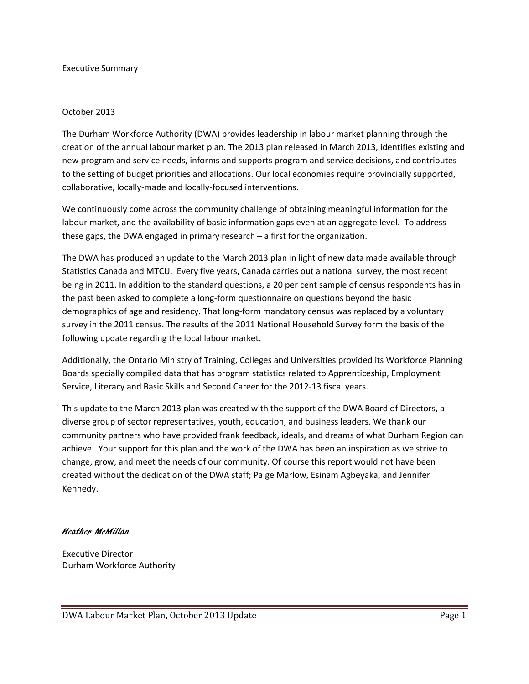#### Executive Summary

#### October 2013

The Durham Workforce Authority (DWA) provides leadership in labour market planning through the creation of the annual labour market plan. The 2013 plan released in March 2013, identifies existing and new program and service needs, informs and supports program and service decisions, and contributes to the setting of budget priorities and allocations. Our local economies require provincially supported, collaborative, locally-made and locally-focused interventions.

We continuously come across the community challenge of obtaining meaningful information for the labour market, and the availability of basic information gaps even at an aggregate level. To address these gaps, the DWA engaged in primary research – a first for the organization.

The DWA has produced an update to the March 2013 plan in light of new data made available through Statistics Canada and MTCU. Every five years, Canada carries out a national survey, the most recent being in 2011. In addition to the standard questions, a 20 per cent sample of census respondents has in the past been asked to complete a long-form questionnaire on questions beyond the basic demographics of age and residency. That long-form mandatory census was replaced by a voluntary survey in the 2011 census. The results of the 2011 National Household Survey form the basis of the following update regarding the local labour market.

Additionally, the Ontario Ministry of Training, Colleges and Universities provided its Workforce Planning Boards specially compiled data that has program statistics related to Apprenticeship, Employment Service, Literacy and Basic Skills and Second Career for the 2012-13 fiscal years.

This update to the March 2013 plan was created with the support of the DWA Board of Directors, a diverse group of sector representatives, youth, education, and business leaders. We thank our community partners who have provided frank feedback, ideals, and dreams of what Durham Region can achieve. Your support for this plan and the work of the DWA has been an inspiration as we strive to change, grow, and meet the needs of our community. Of course this report would not have been created without the dedication of the DWA staff; Paige Marlow, Esinam Agbeyaka, and Jennifer Kennedy.

#### Heather McMillan

Executive Director Durham Workforce Authority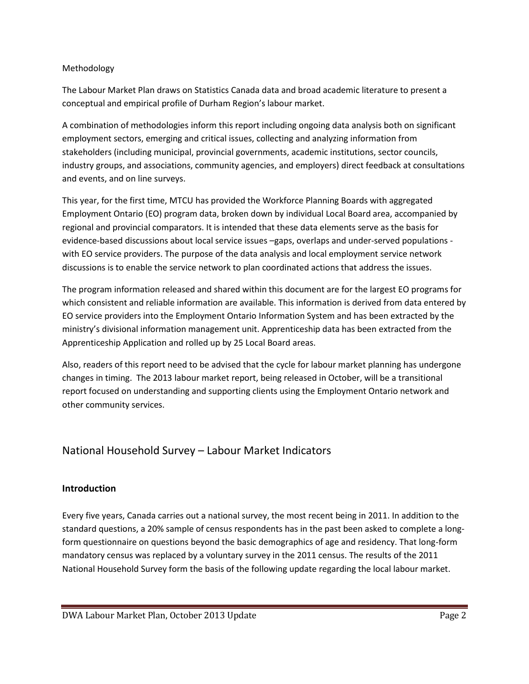## Methodology

The Labour Market Plan draws on Statistics Canada data and broad academic literature to present a conceptual and empirical profile of Durham Region's labour market.

A combination of methodologies inform this report including ongoing data analysis both on significant employment sectors, emerging and critical issues, collecting and analyzing information from stakeholders (including municipal, provincial governments, academic institutions, sector councils, industry groups, and associations, community agencies, and employers) direct feedback at consultations and events, and on line surveys.

This year, for the first time, MTCU has provided the Workforce Planning Boards with aggregated Employment Ontario (EO) program data, broken down by individual Local Board area, accompanied by regional and provincial comparators. It is intended that these data elements serve as the basis for evidence-based discussions about local service issues –gaps, overlaps and under-served populations with EO service providers. The purpose of the data analysis and local employment service network discussions is to enable the service network to plan coordinated actions that address the issues.

The program information released and shared within this document are for the largest EO programs for which consistent and reliable information are available. This information is derived from data entered by EO service providers into the Employment Ontario Information System and has been extracted by the ministry's divisional information management unit. Apprenticeship data has been extracted from the Apprenticeship Application and rolled up by 25 Local Board areas.

Also, readers of this report need to be advised that the cycle for labour market planning has undergone changes in timing. The 2013 labour market report, being released in October, will be a transitional report focused on understanding and supporting clients using the Employment Ontario network and other community services.

# National Household Survey – Labour Market Indicators

## **Introduction**

Every five years, Canada carries out a national survey, the most recent being in 2011. In addition to the standard questions, a 20% sample of census respondents has in the past been asked to complete a longform questionnaire on questions beyond the basic demographics of age and residency. That long-form mandatory census was replaced by a voluntary survey in the 2011 census. The results of the 2011 National Household Survey form the basis of the following update regarding the local labour market.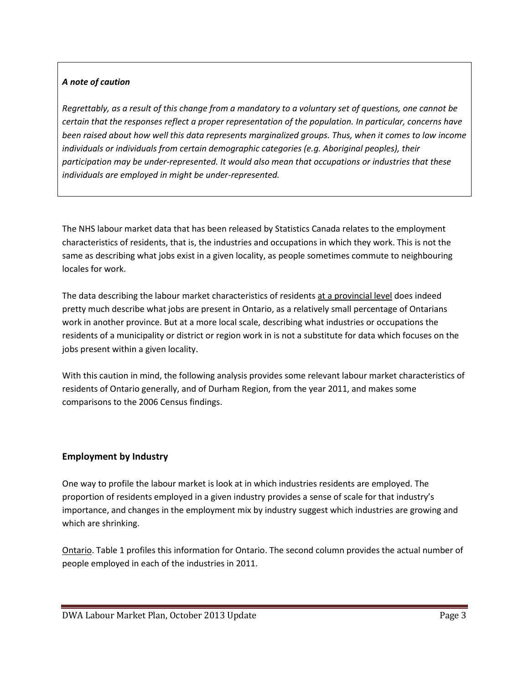## *A note of caution*

*Regrettably, as a result of this change from a mandatory to a voluntary set of questions, one cannot be certain that the responses reflect a proper representation of the population. In particular, concerns have been raised about how well this data represents marginalized groups. Thus, when it comes to low income individuals or individuals from certain demographic categories (e.g. Aboriginal peoples), their participation may be under-represented. It would also mean that occupations or industries that these individuals are employed in might be under-represented.*

The NHS labour market data that has been released by Statistics Canada relates to the employment characteristics of residents, that is, the industries and occupations in which they work. This is not the same as describing what jobs exist in a given locality, as people sometimes commute to neighbouring locales for work.

The data describing the labour market characteristics of residents at a provincial level does indeed pretty much describe what jobs are present in Ontario, as a relatively small percentage of Ontarians work in another province. But at a more local scale, describing what industries or occupations the residents of a municipality or district or region work in is not a substitute for data which focuses on the jobs present within a given locality.

With this caution in mind, the following analysis provides some relevant labour market characteristics of residents of Ontario generally, and of Durham Region, from the year 2011, and makes some comparisons to the 2006 Census findings.

## **Employment by Industry**

One way to profile the labour market is look at in which industries residents are employed. The proportion of residents employed in a given industry provides a sense of scale for that industry's importance, and changes in the employment mix by industry suggest which industries are growing and which are shrinking.

Ontario. Table 1 profiles this information for Ontario. The second column provides the actual number of people employed in each of the industries in 2011.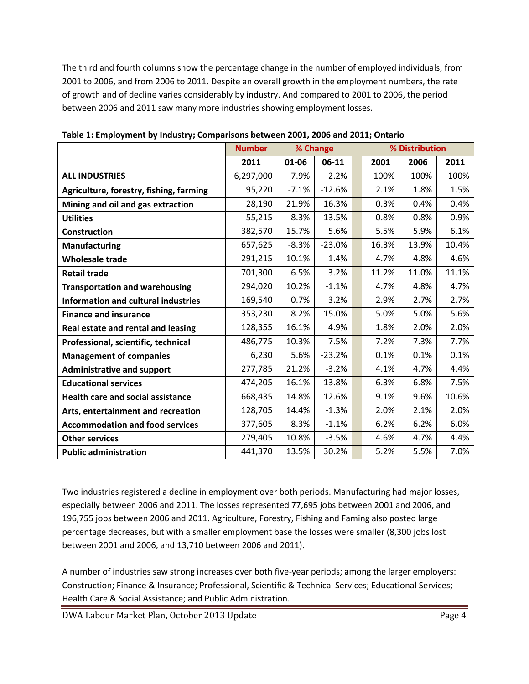The third and fourth columns show the percentage change in the number of employed individuals, from 2001 to 2006, and from 2006 to 2011. Despite an overall growth in the employment numbers, the rate of growth and of decline varies considerably by industry. And compared to 2001 to 2006, the period between 2006 and 2011 saw many more industries showing employment losses.

|                                            | <b>Number</b> |         | % Change |  |       | % Distribution |       |
|--------------------------------------------|---------------|---------|----------|--|-------|----------------|-------|
|                                            | 2011          | 01-06   | 06-11    |  | 2001  | 2006           | 2011  |
| <b>ALL INDUSTRIES</b>                      | 6,297,000     | 7.9%    | 2.2%     |  | 100%  | 100%           | 100%  |
| Agriculture, forestry, fishing, farming    | 95,220        | $-7.1%$ | $-12.6%$ |  | 2.1%  | 1.8%           | 1.5%  |
| Mining and oil and gas extraction          | 28,190        | 21.9%   | 16.3%    |  | 0.3%  | 0.4%           | 0.4%  |
| <b>Utilities</b>                           | 55,215        | 8.3%    | 13.5%    |  | 0.8%  | 0.8%           | 0.9%  |
| <b>Construction</b>                        | 382,570       | 15.7%   | 5.6%     |  | 5.5%  | 5.9%           | 6.1%  |
| <b>Manufacturing</b>                       | 657,625       | $-8.3%$ | $-23.0%$ |  | 16.3% | 13.9%          | 10.4% |
| <b>Wholesale trade</b>                     | 291,215       | 10.1%   | $-1.4%$  |  | 4.7%  | 4.8%           | 4.6%  |
| <b>Retail trade</b>                        | 701,300       | 6.5%    | 3.2%     |  | 11.2% | 11.0%          | 11.1% |
| <b>Transportation and warehousing</b>      | 294,020       | 10.2%   | $-1.1%$  |  | 4.7%  | 4.8%           | 4.7%  |
| <b>Information and cultural industries</b> | 169,540       | 0.7%    | 3.2%     |  | 2.9%  | 2.7%           | 2.7%  |
| <b>Finance and insurance</b>               | 353,230       | 8.2%    | 15.0%    |  | 5.0%  | 5.0%           | 5.6%  |
| Real estate and rental and leasing         | 128,355       | 16.1%   | 4.9%     |  | 1.8%  | 2.0%           | 2.0%  |
| Professional, scientific, technical        | 486,775       | 10.3%   | 7.5%     |  | 7.2%  | 7.3%           | 7.7%  |
| <b>Management of companies</b>             | 6,230         | 5.6%    | $-23.2%$ |  | 0.1%  | 0.1%           | 0.1%  |
| <b>Administrative and support</b>          | 277,785       | 21.2%   | $-3.2%$  |  | 4.1%  | 4.7%           | 4.4%  |
| <b>Educational services</b>                | 474,205       | 16.1%   | 13.8%    |  | 6.3%  | 6.8%           | 7.5%  |
| <b>Health care and social assistance</b>   | 668,435       | 14.8%   | 12.6%    |  | 9.1%  | 9.6%           | 10.6% |
| Arts, entertainment and recreation         | 128,705       | 14.4%   | $-1.3%$  |  | 2.0%  | 2.1%           | 2.0%  |
| <b>Accommodation and food services</b>     | 377,605       | 8.3%    | $-1.1%$  |  | 6.2%  | 6.2%           | 6.0%  |
| <b>Other services</b>                      | 279,405       | 10.8%   | $-3.5%$  |  | 4.6%  | 4.7%           | 4.4%  |
| <b>Public administration</b>               | 441,370       | 13.5%   | 30.2%    |  | 5.2%  | 5.5%           | 7.0%  |

**Table 1: Employment by Industry; Comparisons between 2001, 2006 and 2011; Ontario**

Two industries registered a decline in employment over both periods. Manufacturing had major losses, especially between 2006 and 2011. The losses represented 77,695 jobs between 2001 and 2006, and 196,755 jobs between 2006 and 2011. Agriculture, Forestry, Fishing and Faming also posted large percentage decreases, but with a smaller employment base the losses were smaller (8,300 jobs lost between 2001 and 2006, and 13,710 between 2006 and 2011).

A number of industries saw strong increases over both five-year periods; among the larger employers: Construction; Finance & Insurance; Professional, Scientific & Technical Services; Educational Services; Health Care & Social Assistance; and Public Administration.

DWA Labour Market Plan, October 2013 Update **Page 4** Page 4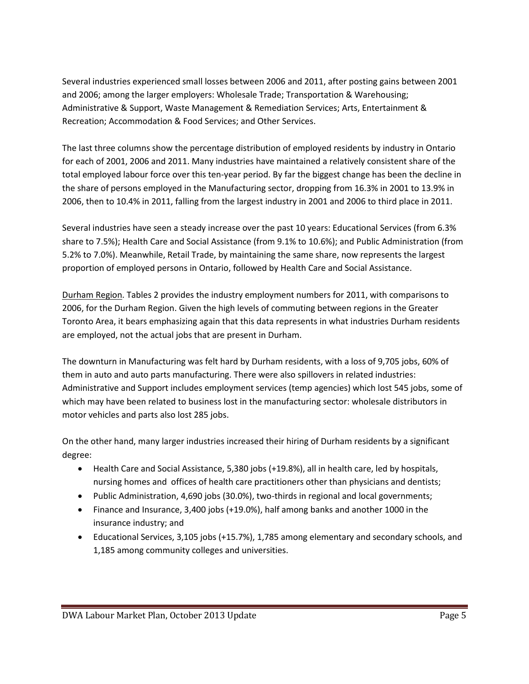Several industries experienced small losses between 2006 and 2011, after posting gains between 2001 and 2006; among the larger employers: Wholesale Trade; Transportation & Warehousing; Administrative & Support, Waste Management & Remediation Services; Arts, Entertainment & Recreation; Accommodation & Food Services; and Other Services.

The last three columns show the percentage distribution of employed residents by industry in Ontario for each of 2001, 2006 and 2011. Many industries have maintained a relatively consistent share of the total employed labour force over this ten-year period. By far the biggest change has been the decline in the share of persons employed in the Manufacturing sector, dropping from 16.3% in 2001 to 13.9% in 2006, then to 10.4% in 2011, falling from the largest industry in 2001 and 2006 to third place in 2011.

Several industries have seen a steady increase over the past 10 years: Educational Services (from 6.3% share to 7.5%); Health Care and Social Assistance (from 9.1% to 10.6%); and Public Administration (from 5.2% to 7.0%). Meanwhile, Retail Trade, by maintaining the same share, now represents the largest proportion of employed persons in Ontario, followed by Health Care and Social Assistance.

Durham Region. Tables 2 provides the industry employment numbers for 2011, with comparisons to 2006, for the Durham Region. Given the high levels of commuting between regions in the Greater Toronto Area, it bears emphasizing again that this data represents in what industries Durham residents are employed, not the actual jobs that are present in Durham.

The downturn in Manufacturing was felt hard by Durham residents, with a loss of 9,705 jobs, 60% of them in auto and auto parts manufacturing. There were also spillovers in related industries: Administrative and Support includes employment services (temp agencies) which lost 545 jobs, some of which may have been related to business lost in the manufacturing sector: wholesale distributors in motor vehicles and parts also lost 285 jobs.

On the other hand, many larger industries increased their hiring of Durham residents by a significant degree:

- Health Care and Social Assistance, 5,380 jobs (+19.8%), all in health care, led by hospitals, nursing homes and offices of health care practitioners other than physicians and dentists;
- Public Administration, 4,690 jobs (30.0%), two-thirds in regional and local governments;
- Finance and Insurance, 3,400 jobs (+19.0%), half among banks and another 1000 in the insurance industry; and
- Educational Services, 3,105 jobs (+15.7%), 1,785 among elementary and secondary schools, and 1,185 among community colleges and universities.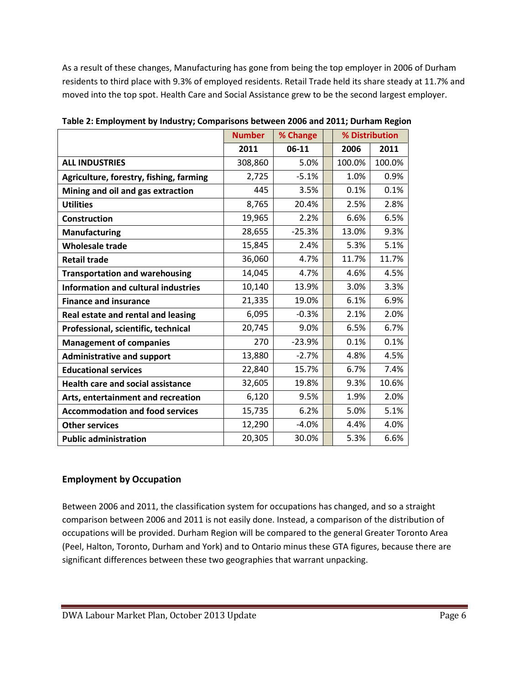As a result of these changes, Manufacturing has gone from being the top employer in 2006 of Durham residents to third place with 9.3% of employed residents. Retail Trade held its share steady at 11.7% and moved into the top spot. Health Care and Social Assistance grew to be the second largest employer.

|                                            | <b>Number</b> | % Change |        | % Distribution |
|--------------------------------------------|---------------|----------|--------|----------------|
|                                            | 2011          | 06-11    | 2006   | 2011           |
| <b>ALL INDUSTRIES</b>                      | 308,860       | 5.0%     | 100.0% | 100.0%         |
| Agriculture, forestry, fishing, farming    | 2,725         | $-5.1%$  | 1.0%   | 0.9%           |
| Mining and oil and gas extraction          | 445           | 3.5%     | 0.1%   | 0.1%           |
| <b>Utilities</b>                           | 8,765         | 20.4%    | 2.5%   | 2.8%           |
| <b>Construction</b>                        | 19,965        | 2.2%     | 6.6%   | 6.5%           |
| <b>Manufacturing</b>                       | 28,655        | $-25.3%$ | 13.0%  | 9.3%           |
| <b>Wholesale trade</b>                     | 15,845        | 2.4%     | 5.3%   | 5.1%           |
| <b>Retail trade</b>                        | 36,060        | 4.7%     | 11.7%  | 11.7%          |
| <b>Transportation and warehousing</b>      | 14,045        | 4.7%     | 4.6%   | 4.5%           |
| <b>Information and cultural industries</b> | 10,140        | 13.9%    | 3.0%   | 3.3%           |
| <b>Finance and insurance</b>               | 21,335        | 19.0%    | 6.1%   | 6.9%           |
| Real estate and rental and leasing         | 6,095         | $-0.3%$  | 2.1%   | 2.0%           |
| Professional, scientific, technical        | 20,745        | 9.0%     | 6.5%   | 6.7%           |
| <b>Management of companies</b>             | 270           | $-23.9%$ | 0.1%   | 0.1%           |
| <b>Administrative and support</b>          | 13,880        | $-2.7%$  | 4.8%   | 4.5%           |
| <b>Educational services</b>                | 22,840        | 15.7%    | 6.7%   | 7.4%           |
| <b>Health care and social assistance</b>   | 32,605        | 19.8%    | 9.3%   | 10.6%          |
| Arts, entertainment and recreation         | 6,120         | 9.5%     | 1.9%   | 2.0%           |
| <b>Accommodation and food services</b>     | 15,735        | 6.2%     | 5.0%   | 5.1%           |
| <b>Other services</b>                      | 12,290        | $-4.0%$  | 4.4%   | 4.0%           |
| <b>Public administration</b>               | 20,305        | 30.0%    | 5.3%   | 6.6%           |

**Table 2: Employment by Industry; Comparisons between 2006 and 2011; Durham Region**

## **Employment by Occupation**

Between 2006 and 2011, the classification system for occupations has changed, and so a straight comparison between 2006 and 2011 is not easily done. Instead, a comparison of the distribution of occupations will be provided. Durham Region will be compared to the general Greater Toronto Area (Peel, Halton, Toronto, Durham and York) and to Ontario minus these GTA figures, because there are significant differences between these two geographies that warrant unpacking.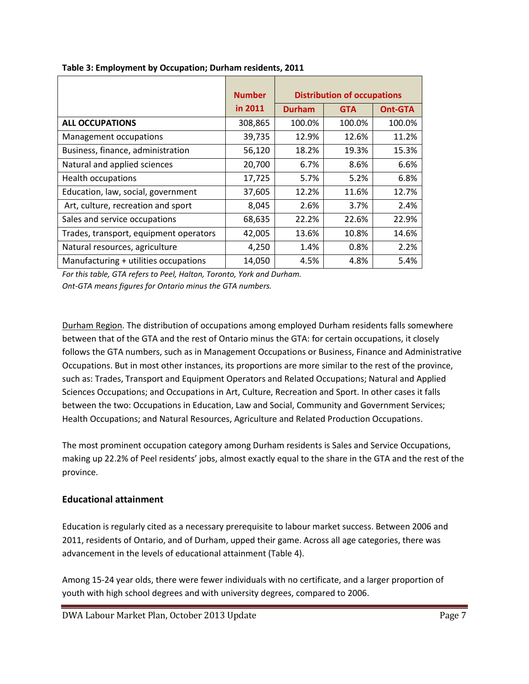|                                        | <b>Number</b> |               | <b>Distribution of occupations</b> |                |
|----------------------------------------|---------------|---------------|------------------------------------|----------------|
|                                        | in 2011       | <b>Durham</b> | <b>GTA</b>                         | <b>Ont-GTA</b> |
| <b>ALL OCCUPATIONS</b>                 | 308,865       | 100.0%        | 100.0%                             | 100.0%         |
| Management occupations                 | 39,735        | 12.9%         | 12.6%                              | 11.2%          |
| Business, finance, administration      | 56,120        | 18.2%         | 19.3%                              | 15.3%          |
| Natural and applied sciences           | 20,700        | 6.7%          | 8.6%                               | 6.6%           |
| <b>Health occupations</b>              | 17,725        | 5.7%          | 5.2%                               | 6.8%           |
| Education, law, social, government     | 37,605        | 12.2%         | 11.6%                              | 12.7%          |
| Art, culture, recreation and sport     | 8,045         | 2.6%          | 3.7%                               | 2.4%           |
| Sales and service occupations          | 68,635        | 22.2%         | 22.6%                              | 22.9%          |
| Trades, transport, equipment operators | 42,005        | 13.6%         | 10.8%                              | 14.6%          |
| Natural resources, agriculture         | 4,250         | 1.4%          | 0.8%                               | 2.2%           |
| Manufacturing + utilities occupations  | 14,050        | 4.5%          | 4.8%                               | 5.4%           |

*For this table, GTA refers to Peel, Halton, Toronto, York and Durham. Ont-GTA means figures for Ontario minus the GTA numbers.*

Durham Region. The distribution of occupations among employed Durham residents falls somewhere between that of the GTA and the rest of Ontario minus the GTA: for certain occupations, it closely follows the GTA numbers, such as in Management Occupations or Business, Finance and Administrative Occupations. But in most other instances, its proportions are more similar to the rest of the province, such as: Trades, Transport and Equipment Operators and Related Occupations; Natural and Applied Sciences Occupations; and Occupations in Art, Culture, Recreation and Sport. In other cases it falls between the two: Occupations in Education, Law and Social, Community and Government Services; Health Occupations; and Natural Resources, Agriculture and Related Production Occupations.

The most prominent occupation category among Durham residents is Sales and Service Occupations, making up 22.2% of Peel residents' jobs, almost exactly equal to the share in the GTA and the rest of the province.

## **Educational attainment**

Education is regularly cited as a necessary prerequisite to labour market success. Between 2006 and 2011, residents of Ontario, and of Durham, upped their game. Across all age categories, there was advancement in the levels of educational attainment (Table 4).

Among 15-24 year olds, there were fewer individuals with no certificate, and a larger proportion of youth with high school degrees and with university degrees, compared to 2006.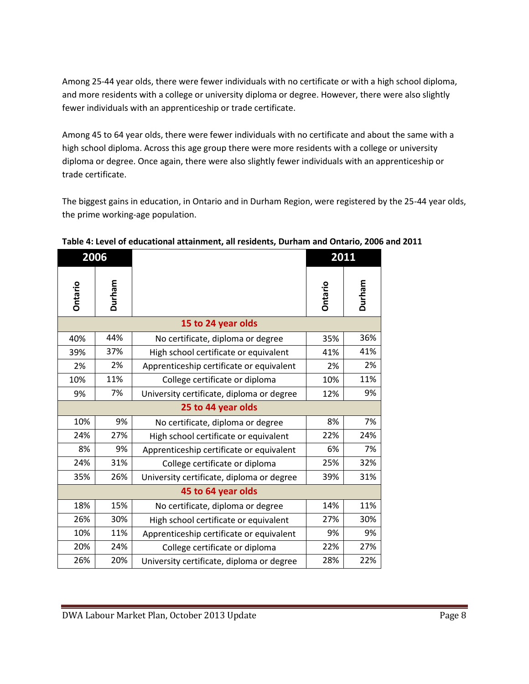Among 25-44 year olds, there were fewer individuals with no certificate or with a high school diploma, and more residents with a college or university diploma or degree. However, there were also slightly fewer individuals with an apprenticeship or trade certificate.

Among 45 to 64 year olds, there were fewer individuals with no certificate and about the same with a high school diploma. Across this age group there were more residents with a college or university diploma or degree. Once again, there were also slightly fewer individuals with an apprenticeship or trade certificate.

The biggest gains in education, in Ontario and in Durham Region, were registered by the 25-44 year olds, the prime working-age population.

| 2006    |        |                                           | 2011           |        |
|---------|--------|-------------------------------------------|----------------|--------|
| Ontario | Durham |                                           | <b>Ontario</b> | Durham |
|         |        | 15 to 24 year olds                        |                |        |
| 40%     | 44%    | No certificate, diploma or degree         | 35%            | 36%    |
| 39%     | 37%    | High school certificate or equivalent     | 41%            | 41%    |
| 2%      | 2%     | Apprenticeship certificate or equivalent  | 2%             | 2%     |
| 10%     | 11%    | College certificate or diploma            | 10%            | 11%    |
| 9%      | 7%     | University certificate, diploma or degree | 12%            | 9%     |
|         |        | 25 to 44 year olds                        |                |        |
| 10%     | 9%     | No certificate, diploma or degree         | 8%             | 7%     |
| 24%     | 27%    | High school certificate or equivalent     | 22%            | 24%    |
| 8%      | 9%     | Apprenticeship certificate or equivalent  | 6%             | 7%     |
| 24%     | 31%    | College certificate or diploma            | 25%            | 32%    |
| 35%     | 26%    | University certificate, diploma or degree | 39%            | 31%    |
|         |        | 45 to 64 year olds                        |                |        |
| 18%     | 15%    | No certificate, diploma or degree         | 14%            | 11%    |
| 26%     | 30%    | High school certificate or equivalent     | 27%            | 30%    |
| 10%     | 11%    | Apprenticeship certificate or equivalent  | 9%             | 9%     |
| 20%     | 24%    | College certificate or diploma            | 22%            | 27%    |
| 26%     | 20%    | University certificate, diploma or degree | 28%            | 22%    |

**Table 4: Level of educational attainment, all residents, Durham and Ontario, 2006 and 2011**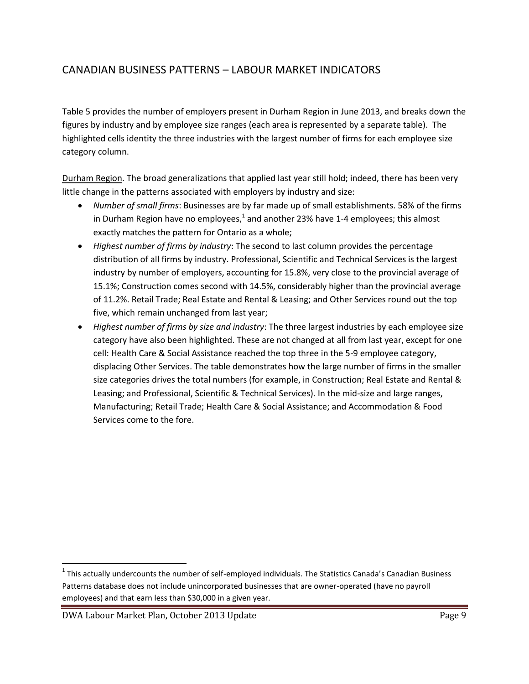# CANADIAN BUSINESS PATTERNS – LABOUR MARKET INDICATORS

Table 5 provides the number of employers present in Durham Region in June 2013, and breaks down the figures by industry and by employee size ranges (each area is represented by a separate table). The highlighted cells identity the three industries with the largest number of firms for each employee size category column.

Durham Region. The broad generalizations that applied last year still hold; indeed, there has been very little change in the patterns associated with employers by industry and size:

- *Number of small firms*: Businesses are by far made up of small establishments. 58% of the firms in Durham Region have no employees, $^1$  and another 23% have 1-4 employees; this almost exactly matches the pattern for Ontario as a whole;
- *Highest number of firms by industry*: The second to last column provides the percentage distribution of all firms by industry. Professional, Scientific and Technical Services is the largest industry by number of employers, accounting for 15.8%, very close to the provincial average of 15.1%; Construction comes second with 14.5%, considerably higher than the provincial average of 11.2%. Retail Trade; Real Estate and Rental & Leasing; and Other Services round out the top five, which remain unchanged from last year;
- *Highest number of firms by size and industry*: The three largest industries by each employee size category have also been highlighted. These are not changed at all from last year, except for one cell: Health Care & Social Assistance reached the top three in the 5-9 employee category, displacing Other Services. The table demonstrates how the large number of firms in the smaller size categories drives the total numbers (for example, in Construction; Real Estate and Rental & Leasing; and Professional, Scientific & Technical Services). In the mid-size and large ranges, Manufacturing; Retail Trade; Health Care & Social Assistance; and Accommodation & Food Services come to the fore.

 $\overline{a}$  $^1$  This actually undercounts the number of self-employed individuals. The Statistics Canada's Canadian Business Patterns database does not include unincorporated businesses that are owner-operated (have no payroll employees) and that earn less than \$30,000 in a given year.

DWA Labour Market Plan, October 2013 Update Page 9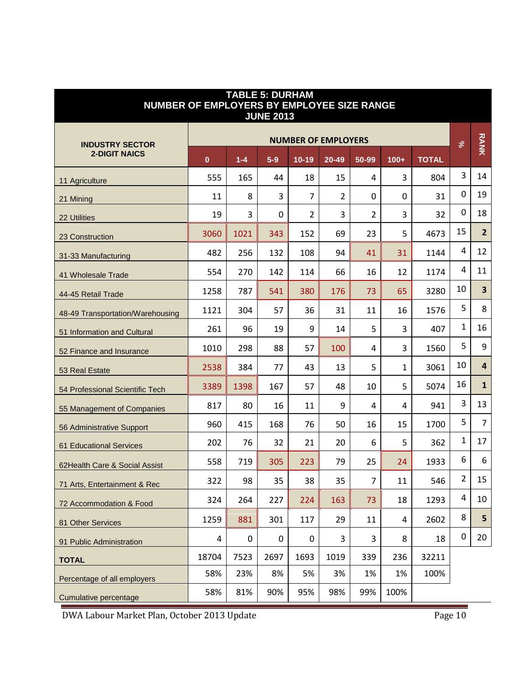| <b>TABLE 5: DURHAM</b><br>NUMBER OF EMPLOYERS BY EMPLOYEE SIZE RANGE<br><b>JUNE 2013</b> |          |                  |             |                |                            |                |              |              |                |                         |
|------------------------------------------------------------------------------------------|----------|------------------|-------------|----------------|----------------------------|----------------|--------------|--------------|----------------|-------------------------|
| <b>INDUSTRY SECTOR</b>                                                                   |          |                  |             |                | <b>NUMBER OF EMPLOYERS</b> |                |              |              | $\%$           | <b>RANK</b>             |
| <b>2-DIGIT NAICS</b>                                                                     | $\bf{0}$ | $1 - 4$          | $5-9$       | $10-19$        | 20-49                      | 50-99          | $100+$       | <b>TOTAL</b> |                |                         |
| 11 Agriculture                                                                           | 555      | 165              | 44          | 18             | 15                         | 4              | 3            | 804          | 3              | 14                      |
| 21 Mining                                                                                | 11       | 8                | 3           | $\overline{7}$ | 2                          | $\Omega$       | 0            | 31           | 0              | 19                      |
| 22 Utilities                                                                             | 19       | 3                | $\Omega$    | 2              | 3                          | $\overline{2}$ | 3            | 32           | 0              | 18                      |
| 23 Construction                                                                          | 3060     | 1021             | 343         | 152            | 69                         | 23             | 5            | 4673         | 15             | $\overline{2}$          |
| 31-33 Manufacturing                                                                      | 482      | 256              | 132         | 108            | 94                         | 41             | 31           | 1144         | 4              | 12                      |
| 41 Wholesale Trade                                                                       | 554      | 270              | 142         | 114            | 66                         | 16             | 12           | 1174         | 4              | 11                      |
| 44-45 Retail Trade                                                                       | 1258     | 787              | 541         | 380            | 176                        | 73             | 65           | 3280         | 10             | $\overline{\mathbf{3}}$ |
| 48-49 Transportation/Warehousing                                                         | 1121     | 304              | 57          | 36             | 31                         | 11             | 16           | 1576         | 5              | 8                       |
| 51 Information and Cultural                                                              | 261      | 96               | 19          | 9              | 14                         | 5              | 3            | 407          | $\mathbf{1}$   | 16                      |
| 52 Finance and Insurance                                                                 | 1010     | 298              | 88          | 57             | 100                        | 4              | 3            | 1560         | 5              | 9                       |
| 53 Real Estate                                                                           | 2538     | 384              | 77          | 43             | 13                         | 5              | $\mathbf{1}$ | 3061         | 10             | 4                       |
| 54 Professional Scientific Tech                                                          | 3389     | 1398             | 167         | 57             | 48                         | 10             | 5            | 5074         | 16             | $\mathbf{1}$            |
| 55 Management of Companies                                                               | 817      | 80               | 16          | 11             | 9                          | 4              | 4            | 941          | 3              | 13                      |
| 56 Administrative Support                                                                | 960      | 415              | 168         | 76             | 50                         | 16             | 15           | 1700         | 5              | $\overline{7}$          |
| <b>61 Educational Services</b>                                                           | 202      | 76               | 32          | 21             | 20                         | 6              | 5            | 362          | $\mathbf{1}$   | 17                      |
| 62 Health Care & Social Assist                                                           | 558      | 719              | 305         | 223            | 79                         | 25             | 24           | 1933         | 6              | 6                       |
| 71 Arts, Entertainment & Rec                                                             | 322      | 98               | 35          | 38             | 35                         | $\overline{7}$ | 11           | 546          | $\overline{2}$ | 15                      |
| 72 Accommodation & Food                                                                  | 324      | 264              | 227         | 224            | 163                        | 73             | 18           | 1293         | 4              | 10                      |
| 81 Other Services                                                                        | 1259     | 881              | 301         | 117            | 29                         | 11             | 4            | 2602         | 8              | 5                       |
| 91 Public Administration                                                                 | 4        | $\boldsymbol{0}$ | $\mathbf 0$ | 0              | 3                          | 3              | 8            | 18           | 0              | 20                      |
| <b>TOTAL</b>                                                                             | 18704    | 7523             | 2697        | 1693           | 1019                       | 339            | 236          | 32211        |                |                         |
| Percentage of all employers                                                              | 58%      | 23%              | 8%          | 5%             | 3%                         | 1%             | 1%           | 100%         |                |                         |
| Cumulative percentage                                                                    | 58%      | 81%              | 90%         | 95%            | 98%                        | 99%            | 100%         |              |                |                         |

DWA Labour Market Plan, October 2013 Update Page 10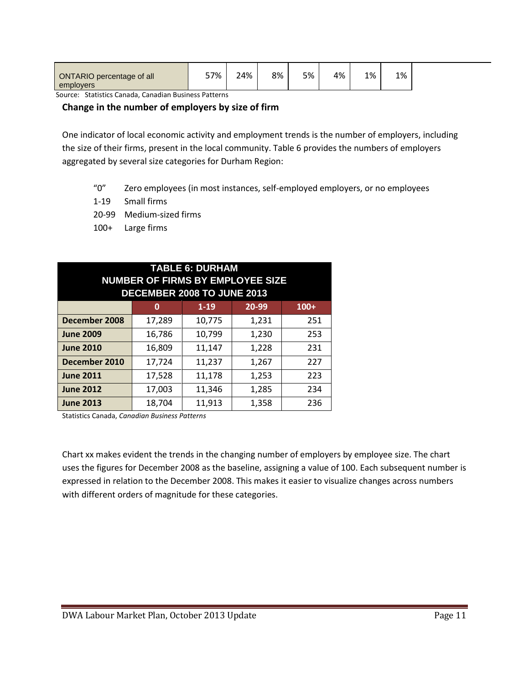| ONTARIO percentage of all | 57% | 24% | 8% | 5% | 4% | 1% | 1% |  |
|---------------------------|-----|-----|----|----|----|----|----|--|
| employers                 |     |     |    |    |    |    |    |  |

Source: Statistics Canada, Canadian Business Patterns

### **Change in the number of employers by size of firm**

One indicator of local economic activity and employment trends is the number of employers, including the size of their firms, present in the local community. Table 6 provides the numbers of employers aggregated by several size categories for Durham Region:

- "0" Zero employees (in most instances, self-employed employers, or no employees
- 1-19 Small firms
- 20-99 Medium-sized firms
- 100+ Large firms

| <b>TABLE 6: DURHAM</b><br><b>NUMBER OF FIRMS BY EMPLOYEE SIZE</b><br>DECEMBER 2008 TO JUNE 2013 |        |          |       |        |  |  |
|-------------------------------------------------------------------------------------------------|--------|----------|-------|--------|--|--|
|                                                                                                 | 0      | $1 - 19$ | 20-99 | $100+$ |  |  |
| December 2008                                                                                   | 17,289 | 10,775   | 1,231 | 251    |  |  |
| <b>June 2009</b>                                                                                | 16,786 | 10,799   | 1,230 | 253    |  |  |
| <b>June 2010</b>                                                                                | 16,809 | 11,147   | 1,228 | 231    |  |  |
| December 2010                                                                                   | 17,724 | 11,237   | 1,267 | 227    |  |  |
| <b>June 2011</b>                                                                                | 17,528 | 11,178   | 1,253 | 223    |  |  |
| <b>June 2012</b>                                                                                | 17,003 | 11,346   | 1,285 | 234    |  |  |
| <b>June 2013</b>                                                                                | 18.704 | 11,913   | 1,358 | 236    |  |  |

Statistics Canada, *Canadian Business Patterns*

Chart xx makes evident the trends in the changing number of employers by employee size. The chart uses the figures for December 2008 as the baseline, assigning a value of 100. Each subsequent number is expressed in relation to the December 2008. This makes it easier to visualize changes across numbers with different orders of magnitude for these categories.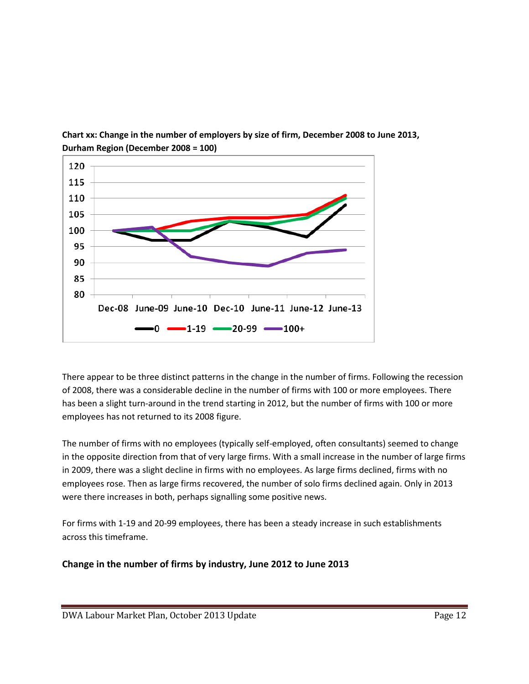

**Chart xx: Change in the number of employers by size of firm, December 2008 to June 2013, Durham Region (December 2008 = 100)**

There appear to be three distinct patterns in the change in the number of firms. Following the recession of 2008, there was a considerable decline in the number of firms with 100 or more employees. There has been a slight turn-around in the trend starting in 2012, but the number of firms with 100 or more employees has not returned to its 2008 figure.

The number of firms with no employees (typically self-employed, often consultants) seemed to change in the opposite direction from that of very large firms. With a small increase in the number of large firms in 2009, there was a slight decline in firms with no employees. As large firms declined, firms with no employees rose. Then as large firms recovered, the number of solo firms declined again. Only in 2013 were there increases in both, perhaps signalling some positive news.

For firms with 1-19 and 20-99 employees, there has been a steady increase in such establishments across this timeframe.

**Change in the number of firms by industry, June 2012 to June 2013**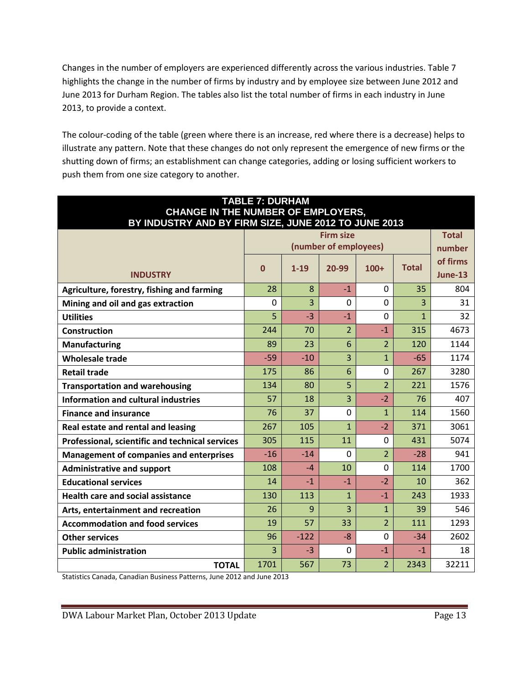Changes in the number of employers are experienced differently across the various industries. Table 7 highlights the change in the number of firms by industry and by employee size between June 2012 and June 2013 for Durham Region. The tables also list the total number of firms in each industry in June 2013, to provide a context.

The colour-coding of the table (green where there is an increase, red where there is a decrease) helps to illustrate any pattern. Note that these changes do not only represent the emergence of new firms or the shutting down of firms; an establishment can change categories, adding or losing sufficient workers to push them from one size category to another.

| <b>TABLE 7: DURHAM</b><br><b>CHANGE IN THE NUMBER OF EMPLOYERS,</b> |             |          |                       |                |              |                |
|---------------------------------------------------------------------|-------------|----------|-----------------------|----------------|--------------|----------------|
| BY INDUSTRY AND BY FIRM SIZE, JUNE 2012 TO JUNE 2013                |             |          |                       |                |              |                |
|                                                                     |             |          | <b>Firm size</b>      |                |              | <b>Total</b>   |
|                                                                     |             |          | (number of employees) |                |              | number         |
|                                                                     | $\mathbf 0$ | $1 - 19$ | 20-99                 | $100+$         | <b>Total</b> | of firms       |
| <b>INDUSTRY</b>                                                     |             |          |                       |                |              | <b>June-13</b> |
| Agriculture, forestry, fishing and farming                          | 28          | 8        | $-1$                  | $\mathbf 0$    | 35           | 804            |
| Mining and oil and gas extraction                                   | $\mathbf 0$ | 3        | $\mathbf 0$           | $\mathbf 0$    | 3            | 31             |
| <b>Utilities</b>                                                    | 5           | $-3$     | $-1$                  | $\Omega$       | $\mathbf{1}$ | 32             |
| Construction                                                        | 244         | 70       | $\overline{2}$        | $-1$           | 315          | 4673           |
| <b>Manufacturing</b>                                                | 89          | 23       | 6                     | $\overline{2}$ | 120          | 1144           |
| <b>Wholesale trade</b>                                              | $-59$       | $-10$    | 3                     | $\mathbf{1}$   | $-65$        | 1174           |
| <b>Retail trade</b>                                                 | 175         | 86       | 6                     | $\Omega$       | 267          | 3280           |
| <b>Transportation and warehousing</b>                               | 134         | 80       | 5                     | $\overline{2}$ | 221          | 1576           |
| <b>Information and cultural industries</b>                          | 57          | 18       | 3                     | $-2$           | 76           | 407            |
| <b>Finance and insurance</b>                                        | 76          | 37       | $\overline{0}$        | $\mathbf{1}$   | 114          | 1560           |
| Real estate and rental and leasing                                  | 267         | 105      | 1                     | $-2$           | 371          | 3061           |
| Professional, scientific and technical services                     | 305         | 115      | 11                    | $\Omega$       | 431          | 5074           |
| <b>Management of companies and enterprises</b>                      | $-16$       | $-14$    | $\Omega$              | $\overline{2}$ | $-28$        | 941            |
| <b>Administrative and support</b>                                   | 108         | $-4$     | 10                    | $\mathbf 0$    | 114          | 1700           |
| <b>Educational services</b>                                         | 14          | $-1$     | $-1$                  | $-2$           | 10           | 362            |
| <b>Health care and social assistance</b>                            | 130         | 113      | $\mathbf{1}$          | $-1$           | 243          | 1933           |
| Arts, entertainment and recreation                                  | 26          | 9        | 3                     | $\mathbf{1}$   | 39           | 546            |
| <b>Accommodation and food services</b>                              | 19          | 57       | 33                    | $\overline{2}$ | 111          | 1293           |
| <b>Other services</b>                                               | 96          | $-122$   | $-8$                  | $\Omega$       | $-34$        | 2602           |
| <b>Public administration</b>                                        | 3           | $-3$     | $\Omega$              | $-1$           | $-1$         | 18             |
| <b>TOTAL</b>                                                        | 1701        | 567      | 73                    | $\overline{2}$ | 2343         | 32211          |

Statistics Canada, Canadian Business Patterns, June 2012 and June 2013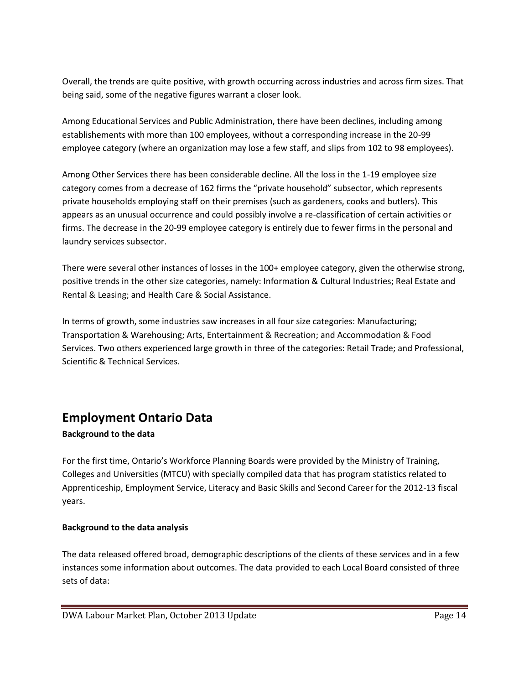Overall, the trends are quite positive, with growth occurring across industries and across firm sizes. That being said, some of the negative figures warrant a closer look.

Among Educational Services and Public Administration, there have been declines, including among establishements with more than 100 employees, without a corresponding increase in the 20-99 employee category (where an organization may lose a few staff, and slips from 102 to 98 employees).

Among Other Services there has been considerable decline. All the loss in the 1-19 employee size category comes from a decrease of 162 firms the "private household" subsector, which represents private households employing staff on their premises (such as gardeners, cooks and butlers). This appears as an unusual occurrence and could possibly involve a re-classification of certain activities or firms. The decrease in the 20-99 employee category is entirely due to fewer firms in the personal and laundry services subsector.

There were several other instances of losses in the 100+ employee category, given the otherwise strong, positive trends in the other size categories, namely: Information & Cultural Industries; Real Estate and Rental & Leasing; and Health Care & Social Assistance.

In terms of growth, some industries saw increases in all four size categories: Manufacturing; Transportation & Warehousing; Arts, Entertainment & Recreation; and Accommodation & Food Services. Two others experienced large growth in three of the categories: Retail Trade; and Professional, Scientific & Technical Services.

# **Employment Ontario Data**

## **Background to the data**

For the first time, Ontario's Workforce Planning Boards were provided by the Ministry of Training, Colleges and Universities (MTCU) with specially compiled data that has program statistics related to Apprenticeship, Employment Service, Literacy and Basic Skills and Second Career for the 2012-13 fiscal years.

## **Background to the data analysis**

The data released offered broad, demographic descriptions of the clients of these services and in a few instances some information about outcomes. The data provided to each Local Board consisted of three sets of data: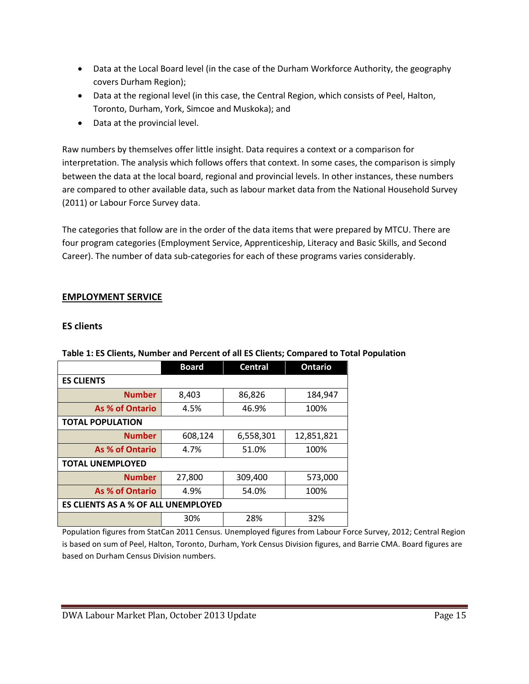- Data at the Local Board level (in the case of the Durham Workforce Authority, the geography covers Durham Region);
- Data at the regional level (in this case, the Central Region, which consists of Peel, Halton, Toronto, Durham, York, Simcoe and Muskoka); and
- Data at the provincial level.

Raw numbers by themselves offer little insight. Data requires a context or a comparison for interpretation. The analysis which follows offers that context. In some cases, the comparison is simply between the data at the local board, regional and provincial levels. In other instances, these numbers are compared to other available data, such as labour market data from the National Household Survey (2011) or Labour Force Survey data.

The categories that follow are in the order of the data items that were prepared by MTCU. There are four program categories (Employment Service, Apprenticeship, Literacy and Basic Skills, and Second Career). The number of data sub-categories for each of these programs varies considerably.

## **EMPLOYMENT SERVICE**

## **ES clients**

|                                            | <b>Board</b> | <b>Central</b> | <b>Ontario</b> |  |  |  |  |
|--------------------------------------------|--------------|----------------|----------------|--|--|--|--|
| <b>ES CLIENTS</b>                          |              |                |                |  |  |  |  |
| <b>Number</b>                              | 8,403        | 86,826         | 184,947        |  |  |  |  |
| <b>As % of Ontario</b>                     | 4.5%         | 46.9%          | 100%           |  |  |  |  |
| <b>TOTAL POPULATION</b>                    |              |                |                |  |  |  |  |
| <b>Number</b>                              | 608,124      | 6,558,301      | 12,851,821     |  |  |  |  |
| As % of Ontario                            | 4.7%         | 51.0%          | 100%           |  |  |  |  |
| <b>TOTAL UNEMPLOYED</b>                    |              |                |                |  |  |  |  |
| <b>Number</b>                              | 27,800       | 309,400        | 573,000        |  |  |  |  |
| As % of Ontario                            | 4.9%         | 54.0%          | 100%           |  |  |  |  |
| <b>ES CLIENTS AS A % OF ALL UNEMPLOYED</b> |              |                |                |  |  |  |  |
|                                            | 30%          | 28%            | 32%            |  |  |  |  |

## **Table 1: ES Clients, Number and Percent of all ES Clients; Compared to Total Population**

Population figures from StatCan 2011 Census. Unemployed figures from Labour Force Survey, 2012; Central Region is based on sum of Peel, Halton, Toronto, Durham, York Census Division figures, and Barrie CMA. Board figures are based on Durham Census Division numbers.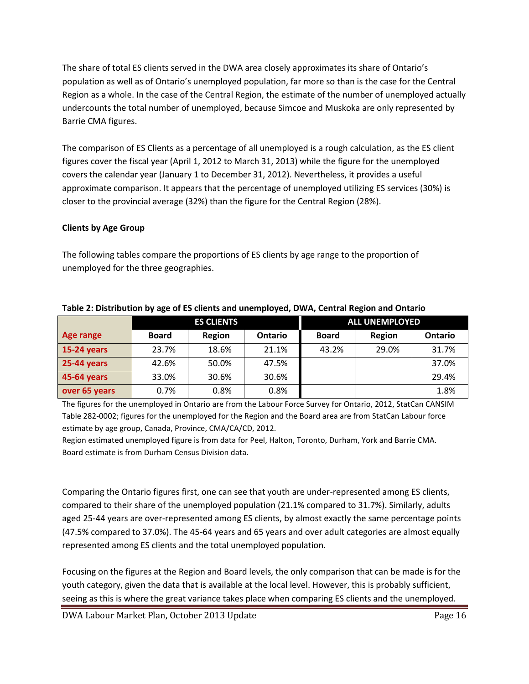The share of total ES clients served in the DWA area closely approximates its share of Ontario's population as well as of Ontario's unemployed population, far more so than is the case for the Central Region as a whole. In the case of the Central Region, the estimate of the number of unemployed actually undercounts the total number of unemployed, because Simcoe and Muskoka are only represented by Barrie CMA figures.

The comparison of ES Clients as a percentage of all unemployed is a rough calculation, as the ES client figures cover the fiscal year (April 1, 2012 to March 31, 2013) while the figure for the unemployed covers the calendar year (January 1 to December 31, 2012). Nevertheless, it provides a useful approximate comparison. It appears that the percentage of unemployed utilizing ES services (30%) is closer to the provincial average (32%) than the figure for the Central Region (28%).

## **Clients by Age Group**

The following tables compare the proportions of ES clients by age range to the proportion of unemployed for the three geographies.

|                    | <b>ES CLIENTS</b> |        |                | <b>ALL UNEMPLOYED</b> |        |         |  |
|--------------------|-------------------|--------|----------------|-----------------------|--------|---------|--|
| Age range          | <b>Board</b>      | Region | <b>Ontario</b> | <b>Board</b>          | Region | Ontario |  |
| 15-24 years        | 23.7%             | 18.6%  | 21.1%          | 43.2%                 | 29.0%  | 31.7%   |  |
| <b>25-44 years</b> | 42.6%             | 50.0%  | 47.5%          |                       |        | 37.0%   |  |
| 45-64 years        | 33.0%             | 30.6%  | 30.6%          |                       |        | 29.4%   |  |
| over 65 years      | $0.7\%$           | 0.8%   | $0.8\%$        |                       |        | 1.8%    |  |

### **Table 2: Distribution by age of ES clients and unemployed, DWA, Central Region and Ontario**

The figures for the unemployed in Ontario are from the Labour Force Survey for Ontario, 2012, StatCan CANSIM Table 282-0002; figures for the unemployed for the Region and the Board area are from StatCan Labour force estimate by age group, Canada, Province, CMA/CA/CD, 2012.

Region estimated unemployed figure is from data for Peel, Halton, Toronto, Durham, York and Barrie CMA. Board estimate is from Durham Census Division data.

Comparing the Ontario figures first, one can see that youth are under-represented among ES clients, compared to their share of the unemployed population (21.1% compared to 31.7%). Similarly, adults aged 25-44 years are over-represented among ES clients, by almost exactly the same percentage points (47.5% compared to 37.0%). The 45-64 years and 65 years and over adult categories are almost equally represented among ES clients and the total unemployed population.

Focusing on the figures at the Region and Board levels, the only comparison that can be made is for the youth category, given the data that is available at the local level. However, this is probably sufficient, seeing as this is where the great variance takes place when comparing ES clients and the unemployed.

DWA Labour Market Plan, October 2013 Update Page 16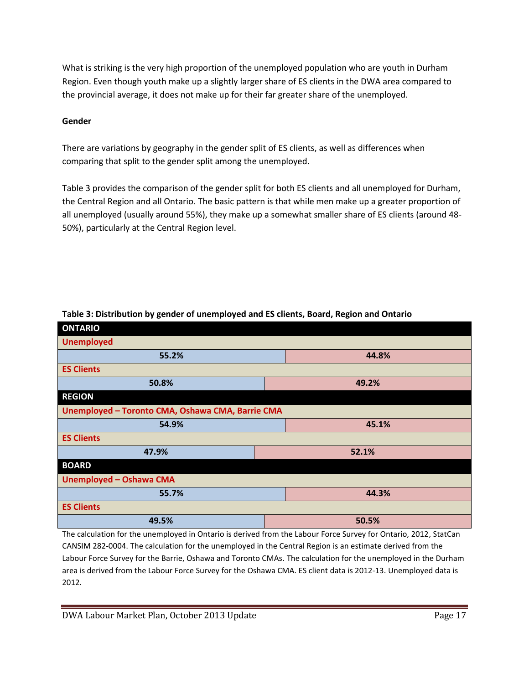What is striking is the very high proportion of the unemployed population who are youth in Durham Region. Even though youth make up a slightly larger share of ES clients in the DWA area compared to the provincial average, it does not make up for their far greater share of the unemployed.

## **Gender**

There are variations by geography in the gender split of ES clients, as well as differences when comparing that split to the gender split among the unemployed.

Table 3 provides the comparison of the gender split for both ES clients and all unemployed for Durham, the Central Region and all Ontario. The basic pattern is that while men make up a greater proportion of all unemployed (usually around 55%), they make up a somewhat smaller share of ES clients (around 48- 50%), particularly at the Central Region level.

| <b>ONTARIO</b>                                   |       |  |  |  |  |  |
|--------------------------------------------------|-------|--|--|--|--|--|
| <b>Unemployed</b>                                |       |  |  |  |  |  |
| 55.2%                                            | 44.8% |  |  |  |  |  |
| <b>ES Clients</b>                                |       |  |  |  |  |  |
| 50.8%                                            | 49.2% |  |  |  |  |  |
| <b>REGION</b>                                    |       |  |  |  |  |  |
| Unemployed - Toronto CMA, Oshawa CMA, Barrie CMA |       |  |  |  |  |  |
| 54.9%                                            | 45.1% |  |  |  |  |  |
| <b>ES Clients</b>                                |       |  |  |  |  |  |
| 47.9%                                            | 52.1% |  |  |  |  |  |
| <b>BOARD</b>                                     |       |  |  |  |  |  |
| <b>Unemployed - Oshawa CMA</b>                   |       |  |  |  |  |  |
| 44.3%<br>55.7%                                   |       |  |  |  |  |  |
| <b>ES Clients</b>                                |       |  |  |  |  |  |
| 49.5%                                            | 50.5% |  |  |  |  |  |
|                                                  |       |  |  |  |  |  |

**Table 3: Distribution by gender of unemployed and ES clients, Board, Region and Ontario**

The calculation for the unemployed in Ontario is derived from the Labour Force Survey for Ontario, 2012, StatCan CANSIM 282-0004. The calculation for the unemployed in the Central Region is an estimate derived from the Labour Force Survey for the Barrie, Oshawa and Toronto CMAs. The calculation for the unemployed in the Durham area is derived from the Labour Force Survey for the Oshawa CMA. ES client data is 2012-13. Unemployed data is 2012.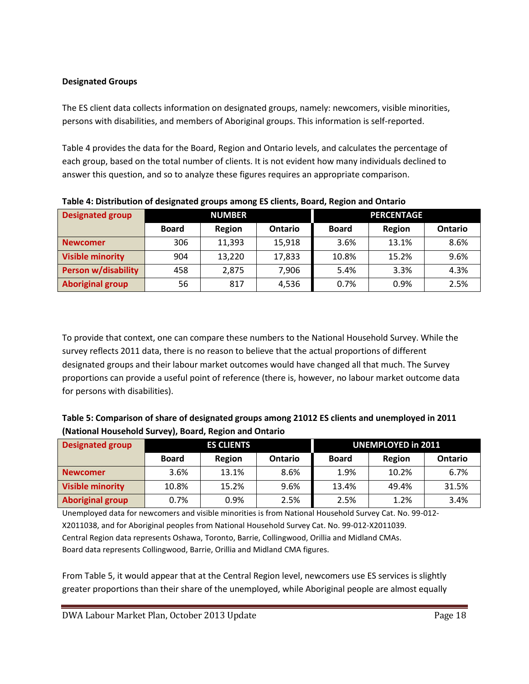## **Designated Groups**

The ES client data collects information on designated groups, namely: newcomers, visible minorities, persons with disabilities, and members of Aboriginal groups. This information is self-reported.

Table 4 provides the data for the Board, Region and Ontario levels, and calculates the percentage of each group, based on the total number of clients. It is not evident how many individuals declined to answer this question, and so to analyze these figures requires an appropriate comparison.

| <b>Designated group</b>    | <b>NUMBER</b> |        |                | <b>PERCENTAGE</b> |        |                |  |
|----------------------------|---------------|--------|----------------|-------------------|--------|----------------|--|
|                            | <b>Board</b>  | Region | <b>Ontario</b> | <b>Board</b>      | Region | <b>Ontario</b> |  |
| <b>Newcomer</b>            | 306           | 11,393 | 15,918         | 3.6%              | 13.1%  | 8.6%           |  |
| <b>Visible minority</b>    | 904           | 13,220 | 17,833         | 10.8%             | 15.2%  | 9.6%           |  |
| <b>Person w/disability</b> | 458           | 2,875  | 7,906          | 5.4%              | 3.3%   | 4.3%           |  |
| <b>Aboriginal group</b>    | 56            | 817    | 4,536          | 0.7%              | 0.9%   | 2.5%           |  |

**Table 4: Distribution of designated groups among ES clients, Board, Region and Ontario**

To provide that context, one can compare these numbers to the National Household Survey. While the survey reflects 2011 data, there is no reason to believe that the actual proportions of different designated groups and their labour market outcomes would have changed all that much. The Survey proportions can provide a useful point of reference (there is, however, no labour market outcome data for persons with disabilities).

| Table 5: Comparison of share of designated groups among 21012 ES clients and unemployed in 2011 |
|-------------------------------------------------------------------------------------------------|
| (National Household Survey), Board, Region and Ontario                                          |

| <b>Designated group</b> | <b>ES CLIENTS</b> |        | <b>UNEMPLOYED in 2011</b> |              |        |                |
|-------------------------|-------------------|--------|---------------------------|--------------|--------|----------------|
|                         | <b>Board</b>      | Region | <b>Ontario</b>            | <b>Board</b> | Region | <b>Ontario</b> |
| <b>Newcomer</b>         | 3.6%              | 13.1%  | 8.6%                      | 1.9%         | 10.2%  | 6.7%           |
| <b>Visible minority</b> | 10.8%             | 15.2%  | 9.6%                      | 13.4%        | 49.4%  | 31.5%          |
| <b>Aboriginal group</b> | 0.7%              | 0.9%   | 2.5%                      | 2.5%         | 1.2%   | 3.4%           |

Unemployed data for newcomers and visible minorities is from National Household Survey Cat. No. 99-012- X2011038, and for Aboriginal peoples from National Household Survey Cat. No. 99-012-X2011039. Central Region data represents Oshawa, Toronto, Barrie, Collingwood, Orillia and Midland CMAs. Board data represents Collingwood, Barrie, Orillia and Midland CMA figures.

From Table 5, it would appear that at the Central Region level, newcomers use ES services is slightly greater proportions than their share of the unemployed, while Aboriginal people are almost equally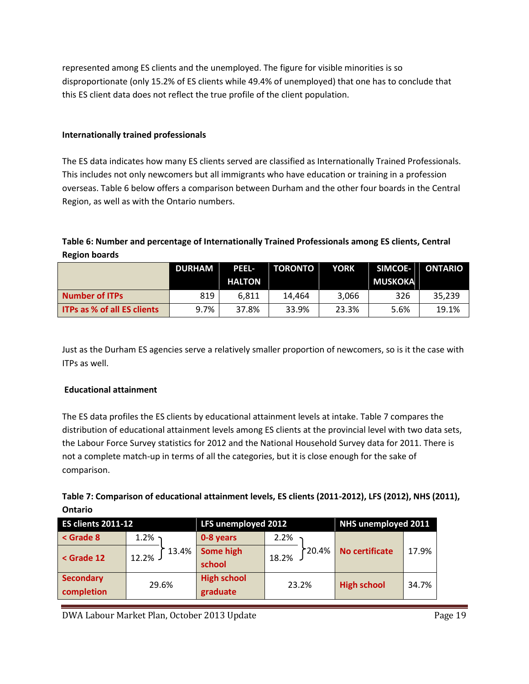represented among ES clients and the unemployed. The figure for visible minorities is so disproportionate (only 15.2% of ES clients while 49.4% of unemployed) that one has to conclude that this ES client data does not reflect the true profile of the client population.

### **Internationally trained professionals**

The ES data indicates how many ES clients served are classified as Internationally Trained Professionals. This includes not only newcomers but all immigrants who have education or training in a profession overseas. Table 6 below offers a comparison between Durham and the other four boards in the Central Region, as well as with the Ontario numbers.

## **Table 6: Number and percentage of Internationally Trained Professionals among ES clients, Central Region boards**

|                                    | <b>DURHAM</b> | <b>PEEL-</b>  | <b>TORONTO</b> | <b>YORK</b> | SIMCOE-        | ONTARIO |
|------------------------------------|---------------|---------------|----------------|-------------|----------------|---------|
|                                    |               | <b>HALTON</b> |                |             | <b>MUSKOKA</b> |         |
| <b>Number of ITPs</b>              | 819           | 6.811         | 14.464         | 3,066       | 326            | 35.239  |
| <b>ITPs as % of all ES clients</b> | 9.7%          | 37.8%         | 33.9%          | 23.3%       | 5.6%           | 19.1%   |

Just as the Durham ES agencies serve a relatively smaller proportion of newcomers, so is it the case with ITPs as well.

### **Educational attainment**

The ES data profiles the ES clients by educational attainment levels at intake. Table 7 compares the distribution of educational attainment levels among ES clients at the provincial level with two data sets, the Labour Force Survey statistics for 2012 and the National Household Survey data for 2011. There is not a complete match-up in terms of all the categories, but it is close enough for the sake of comparison.

| Table 7: Comparison of educational attainment levels, ES clients (2011-2012), LFS (2012), NHS (2011), |  |
|-------------------------------------------------------------------------------------------------------|--|
| Ontario                                                                                               |  |

| ES clients 2011-12                                                                                                                              |                | LFS unemployed 2012            |                 | NHS unemployed 2011 |       |
|-------------------------------------------------------------------------------------------------------------------------------------------------|----------------|--------------------------------|-----------------|---------------------|-------|
| $\le$ Grade 8                                                                                                                                   | 1.2%           | 0-8 years                      | 2.2%            |                     |       |
| <grade 12<="" th=""><th>13.4%<br/>12.2%</th><th>Some high<br/>school</th><th>120.4%<br/>18.2%</th><th>No certificate</th><th>17.9%</th></grade> | 13.4%<br>12.2% | Some high<br>school            | 120.4%<br>18.2% | No certificate      | 17.9% |
| <b>Secondary</b><br>completion                                                                                                                  | 29.6%          | <b>High school</b><br>graduate | 23.2%           | <b>High school</b>  | 34.7% |

DWA Labour Market Plan, October 2013 Update **Page 19** Page 19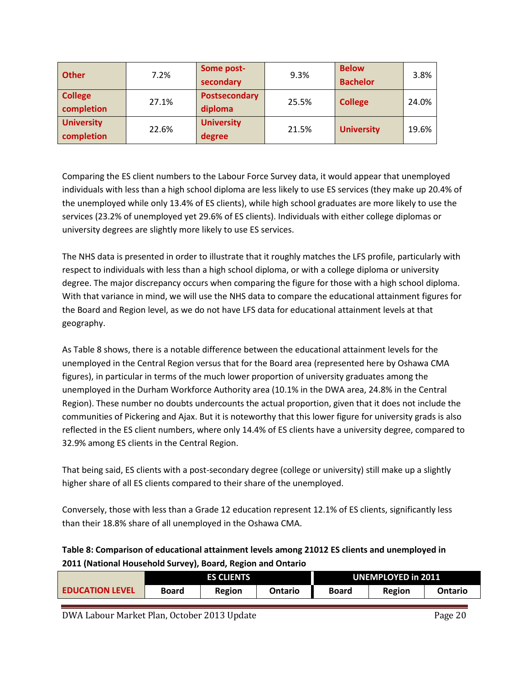| <b>Other</b>                    | 7.2%  | Some post-<br>secondary         | 9.3%  | <b>Below</b><br><b>Bachelor</b> | 3.8%  |
|---------------------------------|-------|---------------------------------|-------|---------------------------------|-------|
| <b>College</b><br>completion    | 27.1% | <b>Postsecondary</b><br>diploma | 25.5% | <b>College</b>                  | 24.0% |
| <b>University</b><br>completion | 22.6% | <b>University</b><br>degree     | 21.5% | <b>University</b>               | 19.6% |

Comparing the ES client numbers to the Labour Force Survey data, it would appear that unemployed individuals with less than a high school diploma are less likely to use ES services (they make up 20.4% of the unemployed while only 13.4% of ES clients), while high school graduates are more likely to use the services (23.2% of unemployed yet 29.6% of ES clients). Individuals with either college diplomas or university degrees are slightly more likely to use ES services.

The NHS data is presented in order to illustrate that it roughly matches the LFS profile, particularly with respect to individuals with less than a high school diploma, or with a college diploma or university degree. The major discrepancy occurs when comparing the figure for those with a high school diploma. With that variance in mind, we will use the NHS data to compare the educational attainment figures for the Board and Region level, as we do not have LFS data for educational attainment levels at that geography.

As Table 8 shows, there is a notable difference between the educational attainment levels for the unemployed in the Central Region versus that for the Board area (represented here by Oshawa CMA figures), in particular in terms of the much lower proportion of university graduates among the unemployed in the Durham Workforce Authority area (10.1% in the DWA area, 24.8% in the Central Region). These number no doubts undercounts the actual proportion, given that it does not include the communities of Pickering and Ajax. But it is noteworthy that this lower figure for university grads is also reflected in the ES client numbers, where only 14.4% of ES clients have a university degree, compared to 32.9% among ES clients in the Central Region.

That being said, ES clients with a post-secondary degree (college or university) still make up a slightly higher share of all ES clients compared to their share of the unemployed.

Conversely, those with less than a Grade 12 education represent 12.1% of ES clients, significantly less than their 18.8% share of all unemployed in the Oshawa CMA.

## **Table 8: Comparison of educational attainment levels among 21012 ES clients and unemployed in 2011 (National Household Survey), Board, Region and Ontario**

|                        |       | <b>ES CLIENTS</b> | <b>UNEMPLOYED in 2011</b> |              |        |         |
|------------------------|-------|-------------------|---------------------------|--------------|--------|---------|
| <b>EDUCATION LEVEL</b> | Board | Region            | Ontario                   | <b>Board</b> | Region | Ontario |

DWA Labour Market Plan, October 2013 Update **Page 20** Page 20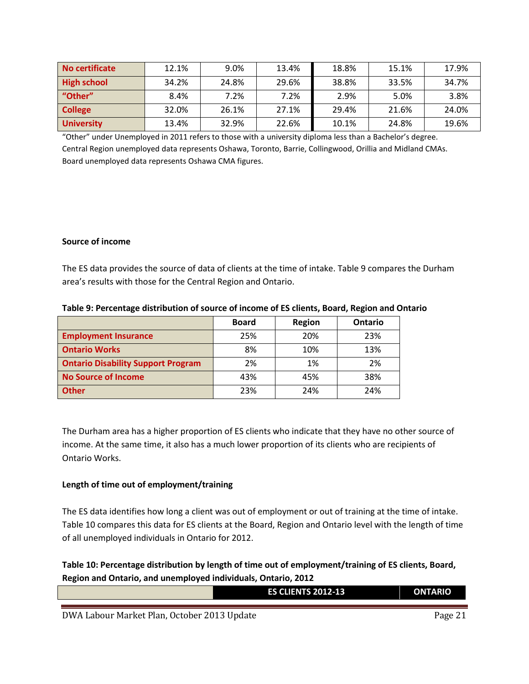| No certificate     | 12.1% | 9.0%  | 13.4% | 18.8% | 15.1% | 17.9% |
|--------------------|-------|-------|-------|-------|-------|-------|
| <b>High school</b> | 34.2% | 24.8% | 29.6% | 38.8% | 33.5% | 34.7% |
| "Other"            | 8.4%  | 7.2%  | 7.2%  | 2.9%  | 5.0%  | 3.8%  |
| <b>College</b>     | 32.0% | 26.1% | 27.1% | 29.4% | 21.6% | 24.0% |
| <b>University</b>  | 13.4% | 32.9% | 22.6% | 10.1% | 24.8% | 19.6% |

"Other" under Unemployed in 2011 refers to those with a university diploma less than a Bachelor's degree. Central Region unemployed data represents Oshawa, Toronto, Barrie, Collingwood, Orillia and Midland CMAs. Board unemployed data represents Oshawa CMA figures.

#### **Source of income**

The ES data provides the source of data of clients at the time of intake. Table 9 compares the Durham area's results with those for the Central Region and Ontario.

|                                           | <b>Board</b> | Region | <b>Ontario</b> |
|-------------------------------------------|--------------|--------|----------------|
| <b>Employment Insurance</b>               | 25%          | 20%    | 23%            |
| <b>Ontario Works</b>                      | 8%           | 10%    | 13%            |
| <b>Ontario Disability Support Program</b> | 2%           | 1%     | 2%             |
| <b>No Source of Income</b>                | 43%          | 45%    | 38%            |
| <b>Other</b>                              | 23%          | 24%    | 24%            |

#### **Table 9: Percentage distribution of source of income of ES clients, Board, Region and Ontario**

The Durham area has a higher proportion of ES clients who indicate that they have no other source of income. At the same time, it also has a much lower proportion of its clients who are recipients of Ontario Works.

### **Length of time out of employment/training**

The ES data identifies how long a client was out of employment or out of training at the time of intake. Table 10 compares this data for ES clients at the Board, Region and Ontario level with the length of time of all unemployed individuals in Ontario for 2012.

**Table 10: Percentage distribution by length of time out of employment/training of ES clients, Board, Region and Ontario, and unemployed individuals, Ontario, 2012**

| <b>ES CLIENTS 2012-13</b> | <b>ONTARIO</b> |
|---------------------------|----------------|
|                           |                |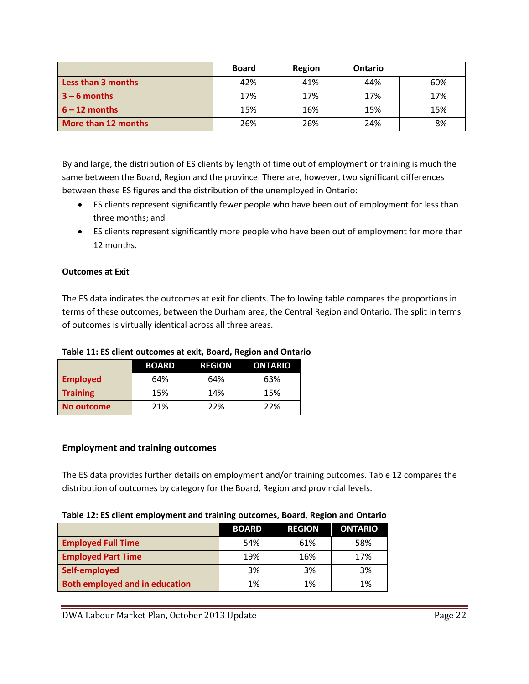|                     | <b>Board</b> | Region | <b>Ontario</b> |     |
|---------------------|--------------|--------|----------------|-----|
| Less than 3 months  | 42%          | 41%    | 44%            | 60% |
| $3 - 6$ months      | 17%          | 17%    | 17%            | 17% |
| $6 - 12$ months     | 15%          | 16%    | 15%            | 15% |
| More than 12 months | 26%          | 26%    | 24%            | 8%  |

By and large, the distribution of ES clients by length of time out of employment or training is much the same between the Board, Region and the province. There are, however, two significant differences between these ES figures and the distribution of the unemployed in Ontario:

- ES clients represent significantly fewer people who have been out of employment for less than three months; and
- ES clients represent significantly more people who have been out of employment for more than 12 months.

### **Outcomes at Exit**

The ES data indicates the outcomes at exit for clients. The following table compares the proportions in terms of these outcomes, between the Durham area, the Central Region and Ontario. The split in terms of outcomes is virtually identical across all three areas.

#### **Table 11: ES client outcomes at exit, Board, Region and Ontario**

|                 | <b>BOARD</b> | <b>REGION</b> | <b>ONTARIO</b> |
|-----------------|--------------|---------------|----------------|
| <b>Employed</b> | 64%          | 64%           | 63%            |
| <b>Training</b> | 15%          | 14%           | 15%            |
| No outcome      | 21%          | 22%           | 22%            |

### **Employment and training outcomes**

The ES data provides further details on employment and/or training outcomes. Table 12 compares the distribution of outcomes by category for the Board, Region and provincial levels.

#### **Table 12: ES client employment and training outcomes, Board, Region and Ontario**

|                                       | <b>BOARD</b> | <b>REGION</b> | <b>ONTARIO</b> |
|---------------------------------------|--------------|---------------|----------------|
| <b>Employed Full Time</b>             | 54%          | 61%           | 58%            |
| <b>Employed Part Time</b>             | 19%          | 16%           | 17%            |
| Self-employed                         | 3%           | 3%            | 3%             |
| <b>Both employed and in education</b> | 1%           | 1%            | 1%             |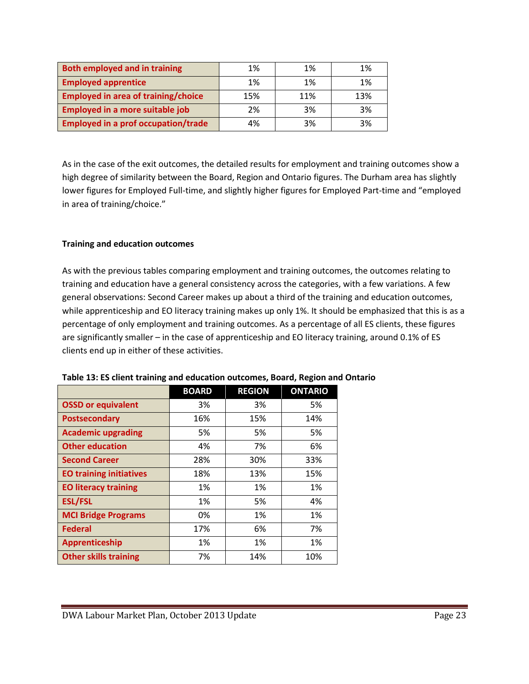| <b>Both employed and in training</b>       | 1%  | 1%  | 1%  |
|--------------------------------------------|-----|-----|-----|
| <b>Employed apprentice</b>                 | 1%  | 1%  | 1%  |
| <b>Employed in area of training/choice</b> | 15% | 11% | 13% |
| <b>Employed in a more suitable job</b>     | 2%  | 3%  | 3%  |
| <b>Employed in a prof occupation/trade</b> | 4%  | 3%  | 3%  |

As in the case of the exit outcomes, the detailed results for employment and training outcomes show a high degree of similarity between the Board, Region and Ontario figures. The Durham area has slightly lower figures for Employed Full-time, and slightly higher figures for Employed Part-time and "employed in area of training/choice."

### **Training and education outcomes**

As with the previous tables comparing employment and training outcomes, the outcomes relating to training and education have a general consistency across the categories, with a few variations. A few general observations: Second Career makes up about a third of the training and education outcomes, while apprenticeship and EO literacy training makes up only 1%. It should be emphasized that this is as a percentage of only employment and training outcomes. As a percentage of all ES clients, these figures are significantly smaller – in the case of apprenticeship and EO literacy training, around 0.1% of ES clients end up in either of these activities.

|                                | <b>BOARD</b> | <b>REGION</b> | <b>ONTARIO</b> |
|--------------------------------|--------------|---------------|----------------|
| <b>OSSD or equivalent</b>      | 3%           | 3%            | 5%             |
| <b>Postsecondary</b>           | 16%          | 15%           | 14%            |
| <b>Academic upgrading</b>      | 5%           | 5%            | 5%             |
| <b>Other education</b>         | 4%           | 7%            | 6%             |
| <b>Second Career</b>           | 28%          | 30%           | 33%            |
| <b>EO training initiatives</b> | 18%          | 13%           | 15%            |
| <b>EO literacy training</b>    | 1%           | 1%            | 1%             |
| <b>ESL/FSL</b>                 | 1%           | 5%            | 4%             |
| <b>MCI Bridge Programs</b>     | 0%           | 1%            | 1%             |
| <b>Federal</b>                 | 17%          | 6%            | 7%             |
| Apprenticeship                 | 1%           | 1%            | 1%             |
| <b>Other skills training</b>   | 7%           | 14%           | 10%            |

**Table 13: ES client training and education outcomes, Board, Region and Ontario**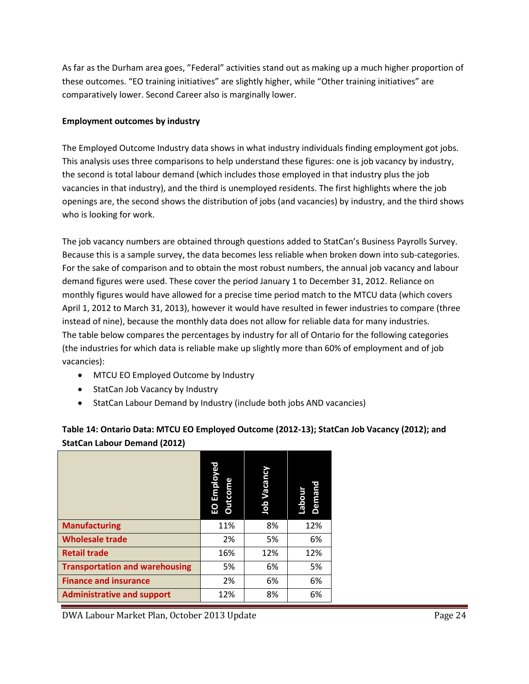As far as the Durham area goes, "Federal" activities stand out as making up a much higher proportion of these outcomes. "EO training initiatives" are slightly higher, while "Other training initiatives" are comparatively lower. Second Career also is marginally lower.

## **Employment outcomes by industry**

The Employed Outcome Industry data shows in what industry individuals finding employment got jobs. This analysis uses three comparisons to help understand these figures: one is job vacancy by industry, the second is total labour demand (which includes those employed in that industry plus the job vacancies in that industry), and the third is unemployed residents. The first highlights where the job openings are, the second shows the distribution of jobs (and vacancies) by industry, and the third shows who is looking for work.

The job vacancy numbers are obtained through questions added to StatCan's Business Payrolls Survey. Because this is a sample survey, the data becomes less reliable when broken down into sub-categories. For the sake of comparison and to obtain the most robust numbers, the annual job vacancy and labour demand figures were used. These cover the period January 1 to December 31, 2012. Reliance on monthly figures would have allowed for a precise time period match to the MTCU data (which covers April 1, 2012 to March 31, 2013), however it would have resulted in fewer industries to compare (three instead of nine), because the monthly data does not allow for reliable data for many industries. The table below compares the percentages by industry for all of Ontario for the following categories (the industries for which data is reliable make up slightly more than 60% of employment and of job vacancies):

- MTCU EO Employed Outcome by Industry
- StatCan Job Vacancy by Industry
- StatCan Labour Demand by Industry (include both jobs AND vacancies)

|                                       | <b>Employe</b><br><b>Outcome</b><br>EO | Job Vacancy | Demand<br>unoqer |  |  |  |  |
|---------------------------------------|----------------------------------------|-------------|------------------|--|--|--|--|
| <b>Manufacturing</b>                  | 11%                                    | 8%          | 12%              |  |  |  |  |
| <b>Wholesale trade</b>                | 2%                                     | 5%          | 6%               |  |  |  |  |
| <b>Retail trade</b>                   | 16%                                    | 12%         | 12%              |  |  |  |  |
| <b>Transportation and warehousing</b> | 5%                                     | 6%          | 5%               |  |  |  |  |
| <b>Finance and insurance</b>          | 2%                                     | 6%          | 6%               |  |  |  |  |
| <b>Administrative and support</b>     | 12%                                    | 8%          | 6%               |  |  |  |  |

# **Table 14: Ontario Data: MTCU EO Employed Outcome (2012-13); StatCan Job Vacancy (2012); and StatCan Labour Demand (2012)**

DWA Labour Market Plan, October 2013 Update Page 24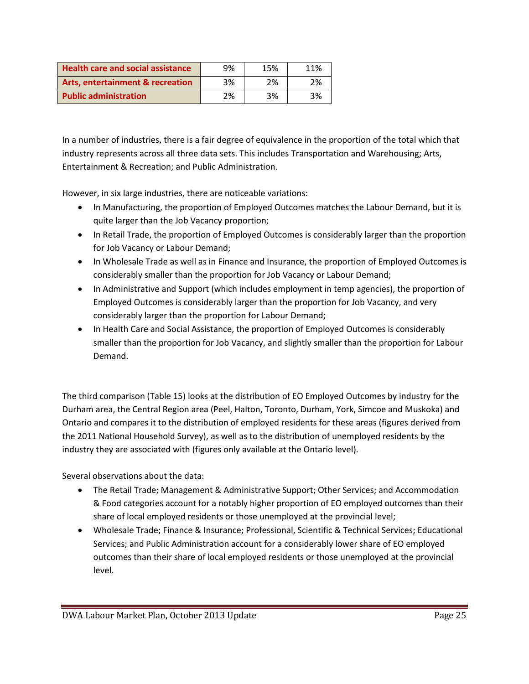| <b>Health care and social assistance</b>    | 9% | 15% | 11% |
|---------------------------------------------|----|-----|-----|
| <b>Arts, entertainment &amp; recreation</b> | 3% | 2%  | 2%  |
| <b>Public administration</b>                | 2% | 3%  | 3%  |

In a number of industries, there is a fair degree of equivalence in the proportion of the total which that industry represents across all three data sets. This includes Transportation and Warehousing; Arts, Entertainment & Recreation; and Public Administration.

However, in six large industries, there are noticeable variations:

- In Manufacturing, the proportion of Employed Outcomes matches the Labour Demand, but it is quite larger than the Job Vacancy proportion;
- In Retail Trade, the proportion of Employed Outcomes is considerably larger than the proportion for Job Vacancy or Labour Demand;
- In Wholesale Trade as well as in Finance and Insurance, the proportion of Employed Outcomes is considerably smaller than the proportion for Job Vacancy or Labour Demand;
- In Administrative and Support (which includes employment in temp agencies), the proportion of Employed Outcomes is considerably larger than the proportion for Job Vacancy, and very considerably larger than the proportion for Labour Demand;
- In Health Care and Social Assistance, the proportion of Employed Outcomes is considerably smaller than the proportion for Job Vacancy, and slightly smaller than the proportion for Labour Demand.

The third comparison (Table 15) looks at the distribution of EO Employed Outcomes by industry for the Durham area, the Central Region area (Peel, Halton, Toronto, Durham, York, Simcoe and Muskoka) and Ontario and compares it to the distribution of employed residents for these areas (figures derived from the 2011 National Household Survey), as well as to the distribution of unemployed residents by the industry they are associated with (figures only available at the Ontario level).

Several observations about the data:

- The Retail Trade; Management & Administrative Support; Other Services; and Accommodation & Food categories account for a notably higher proportion of EO employed outcomes than their share of local employed residents or those unemployed at the provincial level;
- Wholesale Trade; Finance & Insurance; Professional, Scientific & Technical Services; Educational Services; and Public Administration account for a considerably lower share of EO employed outcomes than their share of local employed residents or those unemployed at the provincial level.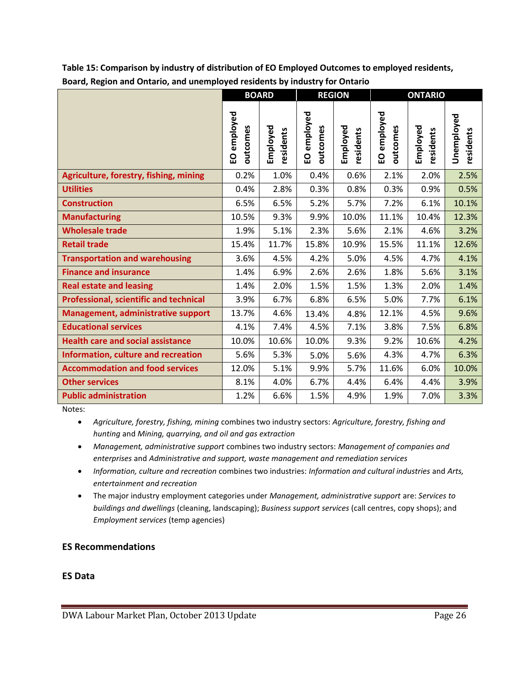|                                               |                         | <b>BOARD</b>          | <b>REGION</b>           |                       | <b>ONTARIO</b>          |                       |                         |
|-----------------------------------------------|-------------------------|-----------------------|-------------------------|-----------------------|-------------------------|-----------------------|-------------------------|
|                                               | EO employed<br>putcomes | Employed<br>residents | EO employed<br>outcomes | Employed<br>residents | EO employed<br>putcomes | Employed<br>residents | Unemployed<br>residents |
| Agriculture, forestry, fishing, mining        | 0.2%                    | 1.0%                  | 0.4%                    | 0.6%                  | 2.1%                    | 2.0%                  | 2.5%                    |
| <b>Utilities</b>                              | 0.4%                    | 2.8%                  | 0.3%                    | 0.8%                  | 0.3%                    | 0.9%                  | 0.5%                    |
| <b>Construction</b>                           | 6.5%                    | 6.5%                  | 5.2%                    | 5.7%                  | 7.2%                    | 6.1%                  | 10.1%                   |
| <b>Manufacturing</b>                          | 10.5%                   | 9.3%                  | 9.9%                    | 10.0%                 | 11.1%                   | 10.4%                 | 12.3%                   |
| <b>Wholesale trade</b>                        | 1.9%                    | 5.1%                  | 2.3%                    | 5.6%                  | 2.1%                    | 4.6%                  | 3.2%                    |
| <b>Retail trade</b>                           | 15.4%                   | 11.7%                 | 15.8%                   | 10.9%                 | 15.5%                   | 11.1%                 | 12.6%                   |
| <b>Transportation and warehousing</b>         | 3.6%                    | 4.5%                  | 4.2%                    | 5.0%                  | 4.5%                    | 4.7%                  | 4.1%                    |
| <b>Finance and insurance</b>                  | 1.4%                    | 6.9%                  | 2.6%                    | 2.6%                  | 1.8%                    | 5.6%                  | 3.1%                    |
| <b>Real estate and leasing</b>                | 1.4%                    | 2.0%                  | 1.5%                    | 1.5%                  | 1.3%                    | 2.0%                  | 1.4%                    |
| <b>Professional, scientific and technical</b> | 3.9%                    | 6.7%                  | 6.8%                    | 6.5%                  | 5.0%                    | 7.7%                  | 6.1%                    |
| Management, administrative support            | 13.7%                   | 4.6%                  | 13.4%                   | 4.8%                  | 12.1%                   | 4.5%                  | 9.6%                    |
| <b>Educational services</b>                   | 4.1%                    | 7.4%                  | 4.5%                    | 7.1%                  | 3.8%                    | 7.5%                  | 6.8%                    |
| <b>Health care and social assistance</b>      | 10.0%                   | 10.6%                 | 10.0%                   | 9.3%                  | 9.2%                    | 10.6%                 | 4.2%                    |
| Information, culture and recreation           | 5.6%                    | 5.3%                  | 5.0%                    | 5.6%                  | 4.3%                    | 4.7%                  | 6.3%                    |
| <b>Accommodation and food services</b>        | 12.0%                   | 5.1%                  | 9.9%                    | 5.7%                  | 11.6%                   | 6.0%                  | 10.0%                   |
| <b>Other services</b>                         | 8.1%                    | 4.0%                  | 6.7%                    | 4.4%                  | 6.4%                    | 4.4%                  | 3.9%                    |
| <b>Public administration</b>                  | 1.2%                    | 6.6%                  | 1.5%                    | 4.9%                  | 1.9%                    | 7.0%                  | 3.3%                    |

**Table 15: Comparison by industry of distribution of EO Employed Outcomes to employed residents, Board, Region and Ontario, and unemployed residents by industry for Ontario**

Notes:

 *Agriculture, forestry, fishing, mining* combines two industry sectors: *Agriculture, forestry, fishing and hunting* and *Mining, quarrying, and oil and gas extraction*

- *Management, administrative support* combines two industry sectors: *Management of companies and enterprises* and *Administrative and support, waste management and remediation services*
- *Information, culture and recreation* combines two industries: *Information and cultural industries* and *Arts, entertainment and recreation*
- The major industry employment categories under *Management, administrative support* are: *Services to buildings and dwellings* (cleaning, landscaping); *Business support services* (call centres, copy shops); and *Employment services* (temp agencies)

## **ES Recommendations**

### **ES Data**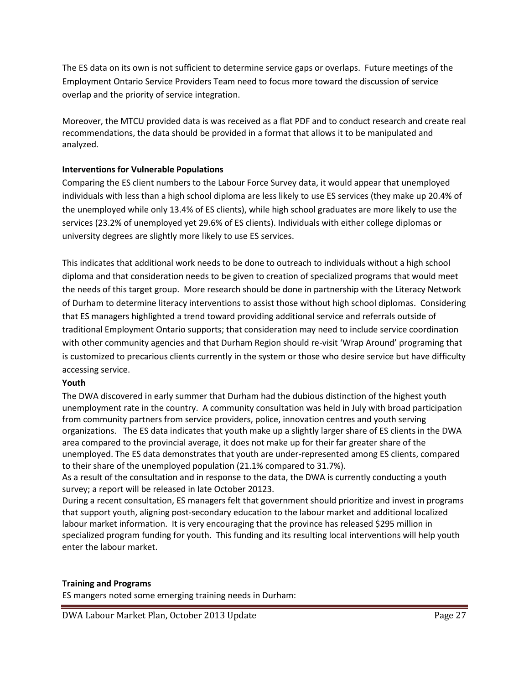The ES data on its own is not sufficient to determine service gaps or overlaps. Future meetings of the Employment Ontario Service Providers Team need to focus more toward the discussion of service overlap and the priority of service integration.

Moreover, the MTCU provided data is was received as a flat PDF and to conduct research and create real recommendations, the data should be provided in a format that allows it to be manipulated and analyzed.

### **Interventions for Vulnerable Populations**

Comparing the ES client numbers to the Labour Force Survey data, it would appear that unemployed individuals with less than a high school diploma are less likely to use ES services (they make up 20.4% of the unemployed while only 13.4% of ES clients), while high school graduates are more likely to use the services (23.2% of unemployed yet 29.6% of ES clients). Individuals with either college diplomas or university degrees are slightly more likely to use ES services.

This indicates that additional work needs to be done to outreach to individuals without a high school diploma and that consideration needs to be given to creation of specialized programs that would meet the needs of this target group. More research should be done in partnership with the Literacy Network of Durham to determine literacy interventions to assist those without high school diplomas. Considering that ES managers highlighted a trend toward providing additional service and referrals outside of traditional Employment Ontario supports; that consideration may need to include service coordination with other community agencies and that Durham Region should re-visit 'Wrap Around' programing that is customized to precarious clients currently in the system or those who desire service but have difficulty accessing service.

#### **Youth**

The DWA discovered in early summer that Durham had the dubious distinction of the highest youth unemployment rate in the country. A community consultation was held in July with broad participation from community partners from service providers, police, innovation centres and youth serving organizations. The ES data indicates that youth make up a slightly larger share of ES clients in the DWA area compared to the provincial average, it does not make up for their far greater share of the unemployed. The ES data demonstrates that youth are under-represented among ES clients, compared to their share of the unemployed population (21.1% compared to 31.7%).

As a result of the consultation and in response to the data, the DWA is currently conducting a youth survey; a report will be released in late October 20123.

During a recent consultation, ES managers felt that government should prioritize and invest in programs that support youth, aligning post-secondary education to the labour market and additional localized labour market information. It is very encouraging that the province has released \$295 million in specialized program funding for youth. This funding and its resulting local interventions will help youth enter the labour market.

#### **Training and Programs**

ES mangers noted some emerging training needs in Durham:

DWA Labour Market Plan, October 2013 Update Page 27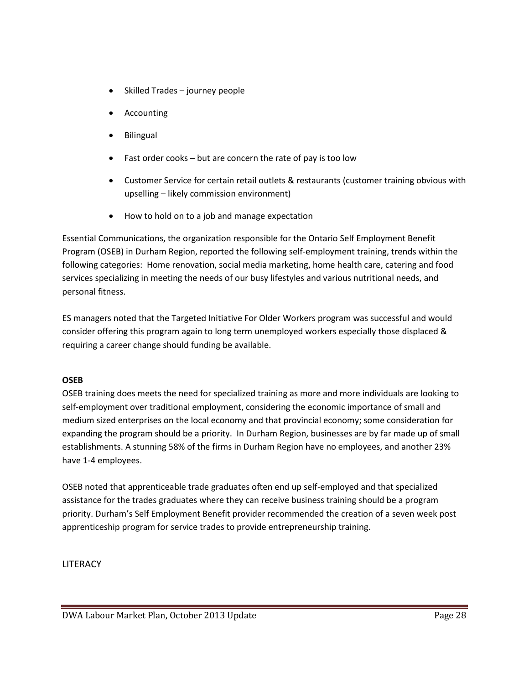- Skilled Trades journey people
- Accounting
- Bilingual
- Fast order cooks but are concern the rate of pay is too low
- Customer Service for certain retail outlets & restaurants (customer training obvious with upselling – likely commission environment)
- How to hold on to a job and manage expectation

Essential Communications, the organization responsible for the Ontario Self Employment Benefit Program (OSEB) in Durham Region, reported the following self-employment training, trends within the following categories: Home renovation, social media marketing, home health care, catering and food services specializing in meeting the needs of our busy lifestyles and various nutritional needs, and personal fitness.

ES managers noted that the Targeted Initiative For Older Workers program was successful and would consider offering this program again to long term unemployed workers especially those displaced & requiring a career change should funding be available.

### **OSEB**

OSEB training does meets the need for specialized training as more and more individuals are looking to self-employment over traditional employment, considering the economic importance of small and medium sized enterprises on the local economy and that provincial economy; some consideration for expanding the program should be a priority. In Durham Region, businesses are by far made up of small establishments. A stunning 58% of the firms in Durham Region have no employees, and another 23% have 1-4 employees.

OSEB noted that apprenticeable trade graduates often end up self-employed and that specialized assistance for the trades graduates where they can receive business training should be a program priority. Durham's Self Employment Benefit provider recommended the creation of a seven week post apprenticeship program for service trades to provide entrepreneurship training.

LITERACY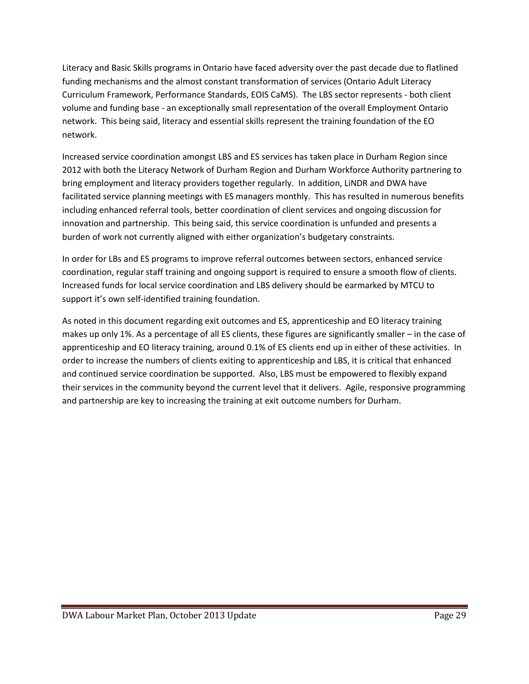Literacy and Basic Skills programs in Ontario have faced adversity over the past decade due to flatlined funding mechanisms and the almost constant transformation of services (Ontario Adult Literacy Curriculum Framework, Performance Standards, EOIS CaMS). The LBS sector represents - both client volume and funding base - an exceptionally small representation of the overall Employment Ontario network. This being said, literacy and essential skills represent the training foundation of the EO network.

Increased service coordination amongst LBS and ES services has taken place in Durham Region since 2012 with both the Literacy Network of Durham Region and Durham Workforce Authority partnering to bring employment and literacy providers together regularly. In addition, LiNDR and DWA have facilitated service planning meetings with ES managers monthly. This has resulted in numerous benefits including enhanced referral tools, better coordination of client services and ongoing discussion for innovation and partnership. This being said, this service coordination is unfunded and presents a burden of work not currently aligned with either organization's budgetary constraints.

In order for LBs and ES programs to improve referral outcomes between sectors, enhanced service coordination, regular staff training and ongoing support is required to ensure a smooth flow of clients. Increased funds for local service coordination and LBS delivery should be earmarked by MTCU to support it's own self-identified training foundation.

As noted in this document regarding exit outcomes and ES, apprenticeship and EO literacy training makes up only 1%. As a percentage of all ES clients, these figures are significantly smaller – in the case of apprenticeship and EO literacy training, around 0.1% of ES clients end up in either of these activities. In order to increase the numbers of clients exiting to apprenticeship and LBS, it is critical that enhanced and continued service coordination be supported. Also, LBS must be empowered to flexibly expand their services in the community beyond the current level that it delivers. Agile, responsive programming and partnership are key to increasing the training at exit outcome numbers for Durham.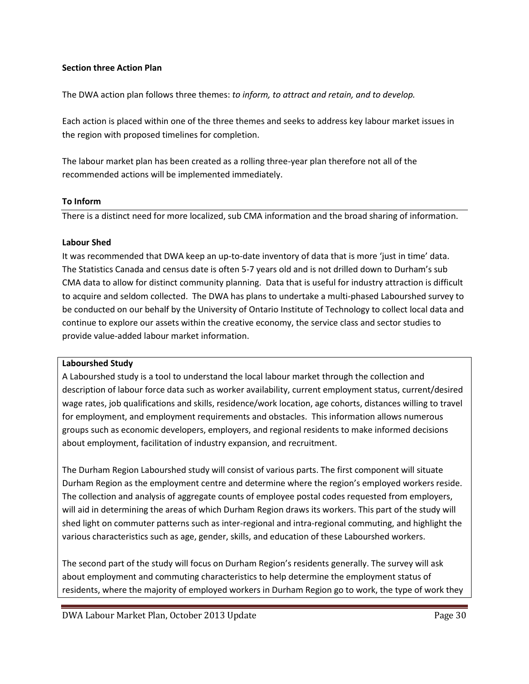### **Section three Action Plan**

The DWA action plan follows three themes: *to inform, to attract and retain, and to develop.* 

Each action is placed within one of the three themes and seeks to address key labour market issues in the region with proposed timelines for completion.

The labour market plan has been created as a rolling three-year plan therefore not all of the recommended actions will be implemented immediately.

#### **To Inform**

There is a distinct need for more localized, sub CMA information and the broad sharing of information.

### **Labour Shed**

It was recommended that DWA keep an up-to-date inventory of data that is more 'just in time' data. The Statistics Canada and census date is often 5-7 years old and is not drilled down to Durham's sub CMA data to allow for distinct community planning. Data that is useful for industry attraction is difficult to acquire and seldom collected. The DWA has plans to undertake a multi-phased Labourshed survey to be conducted on our behalf by the University of Ontario Institute of Technology to collect local data and continue to explore our assets within the creative economy, the service class and sector studies to provide value-added labour market information.

#### **Labourshed Study**

A Labourshed study is a tool to understand the local labour market through the collection and description of labour force data such as worker availability, current employment status, current/desired wage rates, job qualifications and skills, residence/work location, age cohorts, distances willing to travel for employment, and employment requirements and obstacles. This information allows numerous groups such as economic developers, employers, and regional residents to make informed decisions about employment, facilitation of industry expansion, and recruitment.

The Durham Region Labourshed study will consist of various parts. The first component will situate Durham Region as the employment centre and determine where the region's employed workers reside. The collection and analysis of aggregate counts of employee postal codes requested from employers, will aid in determining the areas of which Durham Region draws its workers. This part of the study will shed light on commuter patterns such as inter-regional and intra-regional commuting, and highlight the various characteristics such as age, gender, skills, and education of these Labourshed workers.

The second part of the study will focus on Durham Region's residents generally. The survey will ask about employment and commuting characteristics to help determine the employment status of residents, where the majority of employed workers in Durham Region go to work, the type of work they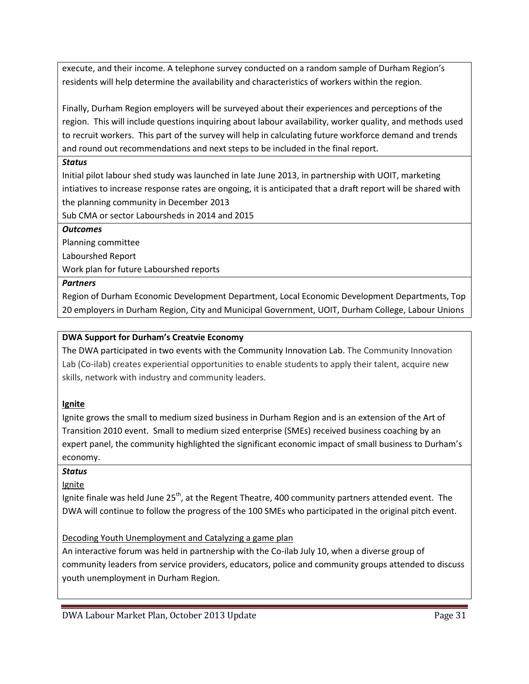execute, and their income. A telephone survey conducted on a random sample of Durham Region's residents will help determine the availability and characteristics of workers within the region.

Finally, Durham Region employers will be surveyed about their experiences and perceptions of the region. This will include questions inquiring about labour availability, worker quality, and methods used to recruit workers. This part of the survey will help in calculating future workforce demand and trends and round out recommendations and next steps to be included in the final report.

## *Status*

Initial pilot labour shed study was launched in late June 2013, in partnership with UOIT, marketing intiatives to increase response rates are ongoing, it is anticipated that a draft report will be shared with the planning community in December 2013

Sub CMA or sector Laboursheds in 2014 and 2015

## *Outcomes*

Planning committee

Labourshed Report

Work plan for future Labourshed reports

## *Partners*

Region of Durham Economic Development Department, Local Economic Development Departments, Top 20 employers in Durham Region, City and Municipal Government, UOIT, Durham College, Labour Unions

## **DWA Support for Durham's Creatvie Economy**

The DWA participated in two events with the Community Innovation Lab. The Community Innovation Lab (Co-ilab) creates experiential opportunities to enable students to apply their talent, acquire new skills, network with industry and community leaders.

## **Ignite**

Ignite grows the small to medium sized business in Durham Region and is an extension of the Art of Transition 2010 event. Small to medium sized enterprise (SMEs) received business coaching by an expert panel, the community highlighted the significant economic impact of small business to Durham's economy.

## *Status*

## Ignite

Ignite finale was held June  $25<sup>th</sup>$ , at the Regent Theatre, 400 community partners attended event. The DWA will continue to follow the progress of the 100 SMEs who participated in the original pitch event.

## Decoding Youth Unemployment and Catalyzing a game plan

An interactive forum was held in partnership with the Co-ilab July 10, when a diverse group of community leaders from service providers, educators, police and community groups attended to discuss youth unemployment in Durham Region.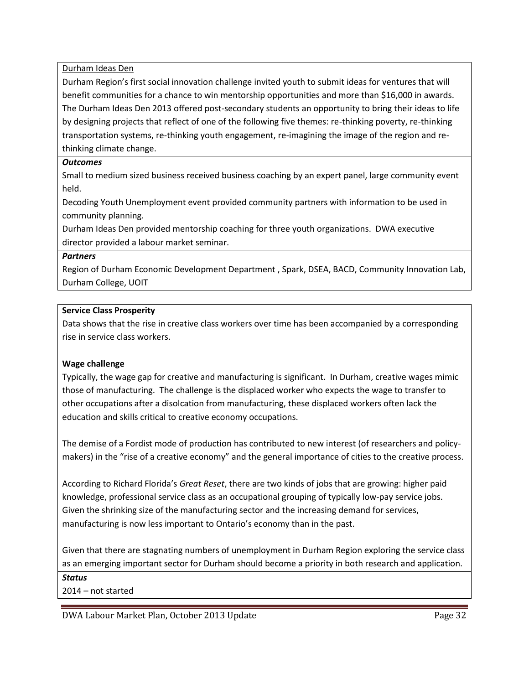Durham Ideas Den

Durham Region's first social innovation challenge invited youth to submit ideas for ventures that will benefit communities for a chance to win mentorship opportunities and more than \$16,000 in awards. The Durham Ideas Den 2013 offered post-secondary students an opportunity to bring their ideas to life by designing projects that reflect of one of the following five themes: re-thinking poverty, re-thinking transportation systems, re-thinking youth engagement, re-imagining the image of the region and rethinking climate change.

### *Outcomes*

Small to medium sized business received business coaching by an expert panel, large community event held.

Decoding Youth Unemployment event provided community partners with information to be used in community planning.

Durham Ideas Den provided mentorship coaching for three youth organizations. DWA executive director provided a labour market seminar.

### *Partners*

Region of Durham Economic Development Department , Spark, DSEA, BACD, Community Innovation Lab, Durham College, UOIT

### **Service Class Prosperity**

Data shows that the rise in creative class workers over time has been accompanied by a corresponding rise in service class workers.

### **Wage challenge**

Typically, the wage gap for creative and manufacturing is significant. In Durham, creative wages mimic those of manufacturing. The challenge is the displaced worker who expects the wage to transfer to other occupations after a disolcation from manufacturing, these displaced workers often lack the education and skills critical to creative economy occupations.

The demise of a Fordist mode of production has contributed to new interest (of researchers and policymakers) in the "rise of a creative economy" and the general importance of cities to the creative process.

According to Richard Florida's *Great Reset*, there are two kinds of jobs that are growing: higher paid knowledge, professional service class as an occupational grouping of typically low-pay service jobs. Given the shrinking size of the manufacturing sector and the increasing demand for services, manufacturing is now less important to Ontario's economy than in the past.

Given that there are stagnating numbers of unemployment in Durham Region exploring the service class as an emerging important sector for Durham should become a priority in both research and application.

*Status*

2014 – not started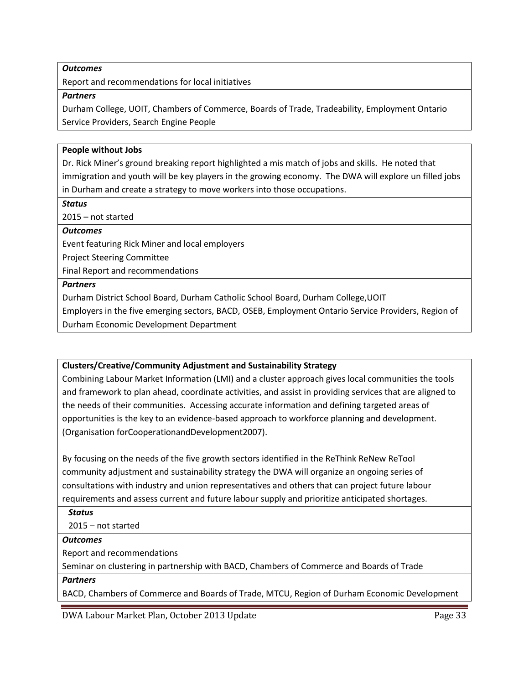#### *Outcomes*

Report and recommendations for local initiatives

#### *Partners*

Durham College, UOIT, Chambers of Commerce, Boards of Trade, Tradeability, Employment Ontario Service Providers, Search Engine People

#### **People without Jobs**

Dr. Rick Miner's ground breaking report highlighted a mis match of jobs and skills. He noted that immigration and youth will be key players in the growing economy. The DWA will explore un filled jobs in Durham and create a strategy to move workers into those occupations.

#### *Status*

2015 – not started

#### *Outcomes*

Event featuring Rick Miner and local employers

Project Steering Committee

Final Report and recommendations

#### *Partners*

Durham District School Board, Durham Catholic School Board, Durham College,UOIT

Employers in the five emerging sectors, BACD, OSEB, Employment Ontario Service Providers, Region of Durham Economic Development Department

### **Clusters/Creative/Community Adjustment and Sustainability Strategy**

Combining Labour Market Information (LMI) and a cluster approach gives local communities the tools and framework to plan ahead, coordinate activities, and assist in providing services that are aligned to the needs of their communities. Accessing accurate information and defining targeted areas of opportunities is the key to an evidence-based approach to workforce planning and development. (Organisation forCooperationandDevelopment2007).

By focusing on the needs of the five growth sectors identified in the ReThink ReNew ReTool community adjustment and sustainability strategy the DWA will organize an ongoing series of consultations with industry and union representatives and others that can project future labour requirements and assess current and future labour supply and prioritize anticipated shortages.

*Status*

2015 – not started

#### *Outcomes*

Report and recommendations

Seminar on clustering in partnership with BACD, Chambers of Commerce and Boards of Trade

#### *Partners*

BACD, Chambers of Commerce and Boards of Trade, MTCU, Region of Durham Economic Development

DWA Labour Market Plan, October 2013 Update Page 33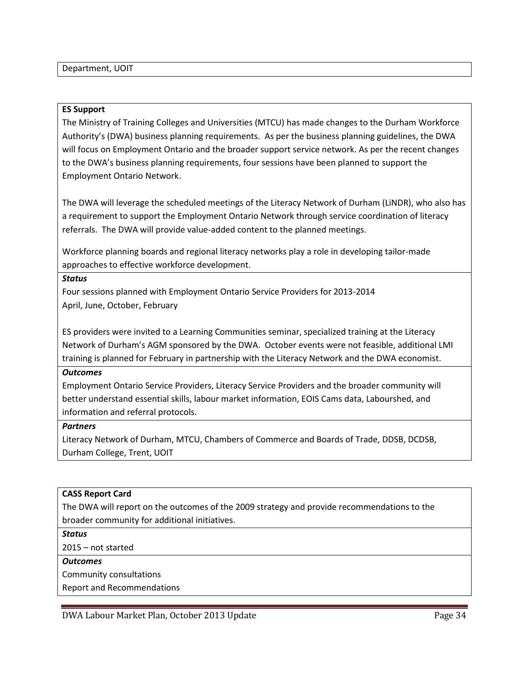#### **ES Support**

The Ministry of Training Colleges and Universities (MTCU) has made changes to the Durham Workforce Authority's (DWA) business planning requirements. As per the business planning guidelines, the DWA will focus on Employment Ontario and the broader support service network. As per the recent changes to the DWA's business planning requirements, four sessions have been planned to support the Employment Ontario Network.

The DWA will leverage the scheduled meetings of the Literacy Network of Durham (LiNDR), who also has a requirement to support the Employment Ontario Network through service coordination of literacy referrals. The DWA will provide value-added content to the planned meetings.

Workforce planning boards and regional literacy networks play a role in developing tailor-made approaches to effective workforce development.

#### *Status*

Four sessions planned with Employment Ontario Service Providers for 2013-2014 April, June, October, February

ES providers were invited to a Learning Communities seminar, specialized training at the Literacy Network of Durham's AGM sponsored by the DWA. October events were not feasible, additional LMI training is planned for February in partnership with the Literacy Network and the DWA economist.

#### *Outcomes*

Employment Ontario Service Providers, Literacy Service Providers and the broader community will better understand essential skills, labour market information, EOIS Cams data, Labourshed, and information and referral protocols.

#### *Partners*

Literacy Network of Durham, MTCU, Chambers of Commerce and Boards of Trade, DDSB, DCDSB, Durham College, Trent, UOIT

#### **CASS Report Card**

The DWA will report on the outcomes of the 2009 strategy and provide recommendations to the broader community for additional initiatives.

*Status*

2015 – not started

#### *Outcomes*

Community consultations

Report and Recommendations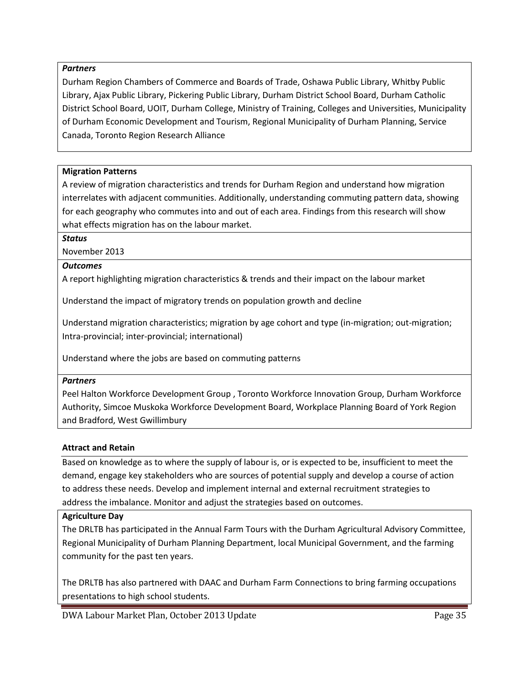### *Partners*

Durham Region Chambers of Commerce and Boards of Trade, Oshawa Public Library, Whitby Public Library, Ajax Public Library, Pickering Public Library, Durham District School Board, Durham Catholic District School Board, UOIT, Durham College, Ministry of Training, Colleges and Universities, Municipality of Durham Economic Development and Tourism, Regional Municipality of Durham Planning, Service Canada, Toronto Region Research Alliance

#### **Migration Patterns**

A review of migration characteristics and trends for Durham Region and understand how migration interrelates with adjacent communities. Additionally, understanding commuting pattern data, showing for each geography who commutes into and out of each area. Findings from this research will show what effects migration has on the labour market.

#### *Status*

November 2013

### *Outcomes*

A report highlighting migration characteristics & trends and their impact on the labour market

Understand the impact of migratory trends on population growth and decline

Understand migration characteristics; migration by age cohort and type (in-migration; out-migration; Intra-provincial; inter-provincial; international)

Understand where the jobs are based on commuting patterns

#### *Partners*

Peel Halton Workforce Development Group , Toronto Workforce Innovation Group, Durham Workforce Authority, Simcoe Muskoka Workforce Development Board, Workplace Planning Board of York Region and Bradford, West Gwillimbury

#### **Attract and Retain**

Based on knowledge as to where the supply of labour is, or is expected to be, insufficient to meet the demand, engage key stakeholders who are sources of potential supply and develop a course of action to address these needs. Develop and implement internal and external recruitment strategies to address the imbalance. Monitor and adjust the strategies based on outcomes.

#### **Agriculture Day**

The DRLTB has participated in the Annual Farm Tours with the Durham Agricultural Advisory Committee, Regional Municipality of Durham Planning Department, local Municipal Government, and the farming community for the past ten years.

The DRLTB has also partnered with DAAC and Durham Farm Connections to bring farming occupations presentations to high school students.

DWA Labour Market Plan, October 2013 Update **Page 35** Page 35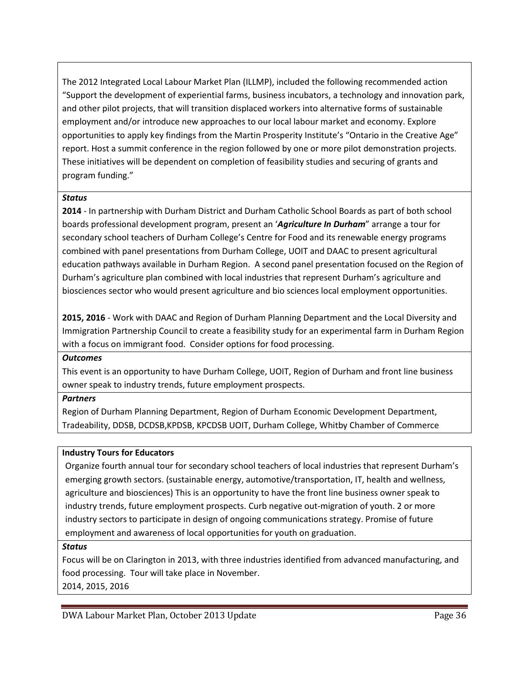The 2012 Integrated Local Labour Market Plan (ILLMP), included the following recommended action "Support the development of experiential farms, business incubators, a technology and innovation park, and other pilot projects, that will transition displaced workers into alternative forms of sustainable employment and/or introduce new approaches to our local labour market and economy. Explore opportunities to apply key findings from the Martin Prosperity Institute's "Ontario in the Creative Age" report. Host a summit conference in the region followed by one or more pilot demonstration projects. These initiatives will be dependent on completion of feasibility studies and securing of grants and program funding."

## *Status*

**2014** - In partnership with Durham District and Durham Catholic School Boards as part of both school boards professional development program, present an '*Agriculture In Durham*" arrange a tour for secondary school teachers of Durham College's Centre for Food and its renewable energy programs combined with panel presentations from Durham College, UOIT and DAAC to present agricultural education pathways available in Durham Region. A second panel presentation focused on the Region of Durham's agriculture plan combined with local industries that represent Durham's agriculture and biosciences sector who would present agriculture and bio sciences local employment opportunities.

**2015, 2016** - Work with DAAC and Region of Durham Planning Department and the Local Diversity and Immigration Partnership Council to create a feasibility study for an experimental farm in Durham Region with a focus on immigrant food. Consider options for food processing.

### *Outcomes*

This event is an opportunity to have Durham College, UOIT, Region of Durham and front line business owner speak to industry trends, future employment prospects.

## *Partners*

Region of Durham Planning Department, Region of Durham Economic Development Department, Tradeability, DDSB, DCDSB,KPDSB, KPCDSB UOIT, Durham College, Whitby Chamber of Commerce

## **Industry Tours for Educators**

Organize fourth annual tour for secondary school teachers of local industries that represent Durham's emerging growth sectors. (sustainable energy, automotive/transportation, IT, health and wellness, agriculture and biosciences) This is an opportunity to have the front line business owner speak to industry trends, future employment prospects. Curb negative out-migration of youth. 2 or more industry sectors to participate in design of ongoing communications strategy. Promise of future employment and awareness of local opportunities for youth on graduation.

## *Status*

Focus will be on Clarington in 2013, with three industries identified from advanced manufacturing, and food processing. Tour will take place in November. 2014, 2015, 2016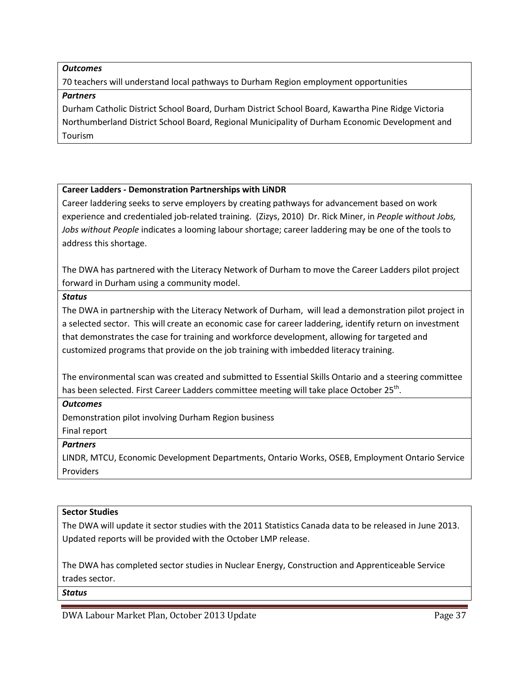#### *Outcomes*

70 teachers will understand local pathways to Durham Region employment opportunities

### *Partners*

Durham Catholic District School Board, Durham District School Board, Kawartha Pine Ridge Victoria Northumberland District School Board, Regional Municipality of Durham Economic Development and Tourism

## **Career Ladders - Demonstration Partnerships with LiNDR**

Career laddering seeks to serve employers by creating pathways for advancement based on work experience and credentialed job-related training. (Zizys, 2010) Dr. Rick Miner, in *People without Jobs, Jobs without People* indicates a looming labour shortage; career laddering may be one of the tools to address this shortage.

The DWA has partnered with the Literacy Network of Durham to move the Career Ladders pilot project forward in Durham using a community model.

### *Status*

The DWA in partnership with the Literacy Network of Durham, will lead a demonstration pilot project in a selected sector. This will create an economic case for career laddering, identify return on investment that demonstrates the case for training and workforce development, allowing for targeted and customized programs that provide on the job training with imbedded literacy training.

The environmental scan was created and submitted to Essential Skills Ontario and a steering committee has been selected. First Career Ladders committee meeting will take place October 25<sup>th</sup>.

### *Outcomes*

Demonstration pilot involving Durham Region business

### Final report

### *Partners*

LINDR, MTCU, Economic Development Departments, Ontario Works, OSEB, Employment Ontario Service Providers

## **Sector Studies**

The DWA will update it sector studies with the 2011 Statistics Canada data to be released in June 2013. Updated reports will be provided with the October LMP release.

The DWA has completed sector studies in Nuclear Energy, Construction and Apprenticeable Service trades sector.

### *Status*

DWA Labour Market Plan, October 2013 Update Page 37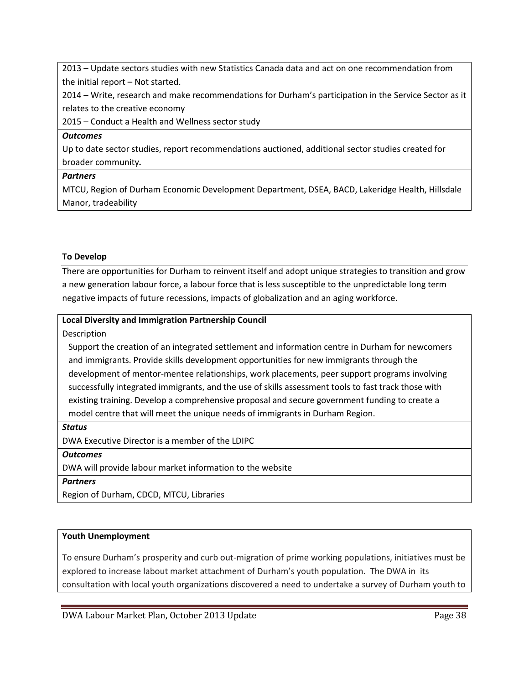2013 – Update sectors studies with new Statistics Canada data and act on one recommendation from the initial report – Not started.

2014 – Write, research and make recommendations for Durham's participation in the Service Sector as it relates to the creative economy

2015 – Conduct a Health and Wellness sector study

### *Outcomes*

Up to date sector studies, report recommendations auctioned, additional sector studies created for broader community*.*

## *Partners*

MTCU, Region of Durham Economic Development Department, DSEA, BACD, Lakeridge Health, Hillsdale Manor, tradeability

## **To Develop**

There are opportunities for Durham to reinvent itself and adopt unique strategies to transition and grow a new generation labour force, a labour force that is less susceptible to the unpredictable long term negative impacts of future recessions, impacts of globalization and an aging workforce.

## **Local Diversity and Immigration Partnership Council**

Description

Support the creation of an integrated settlement and information centre in Durham for newcomers and immigrants. Provide skills development opportunities for new immigrants through the development of mentor-mentee relationships, work placements, peer support programs involving successfully integrated immigrants, and the use of skills assessment tools to fast track those with existing training. Develop a comprehensive proposal and secure government funding to create a model centre that will meet the unique needs of immigrants in Durham Region.

*Status*

DWA Executive Director is a member of the LDIPC

*Outcomes*

DWA will provide labour market information to the website

*Partners*

Region of Durham, CDCD, MTCU, Libraries

## **Youth Unemployment**

To ensure Durham's prosperity and curb out-migration of prime working populations, initiatives must be explored to increase labout market attachment of Durham's youth population. The DWA in its consultation with local youth organizations discovered a need to undertake a survey of Durham youth to